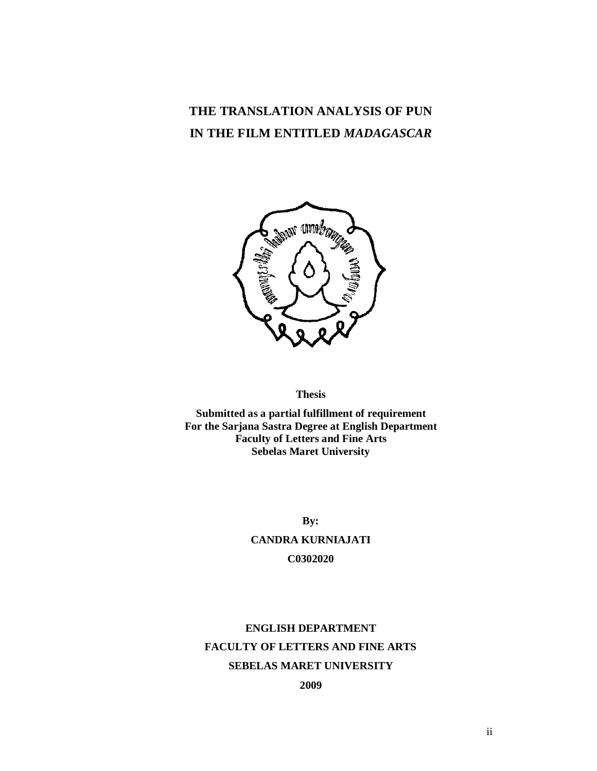# **THE TRANSLATION ANALYSIS OF PUN IN THE FILM ENTITLED** *MADAGASCAR*



#### **Thesis**

**Submitted as a partial fulfillment of requirement For the Sarjana Sastra Degree at English Department Faculty of Letters and Fine Arts Sebelas Maret University**

> **By: CANDRA KURNIAJATI C0302020**

# **ENGLISH DEPARTMENT FACULTY OF LETTERS AND FINE ARTS SEBELAS MARET UNIVERSITY**

**2009**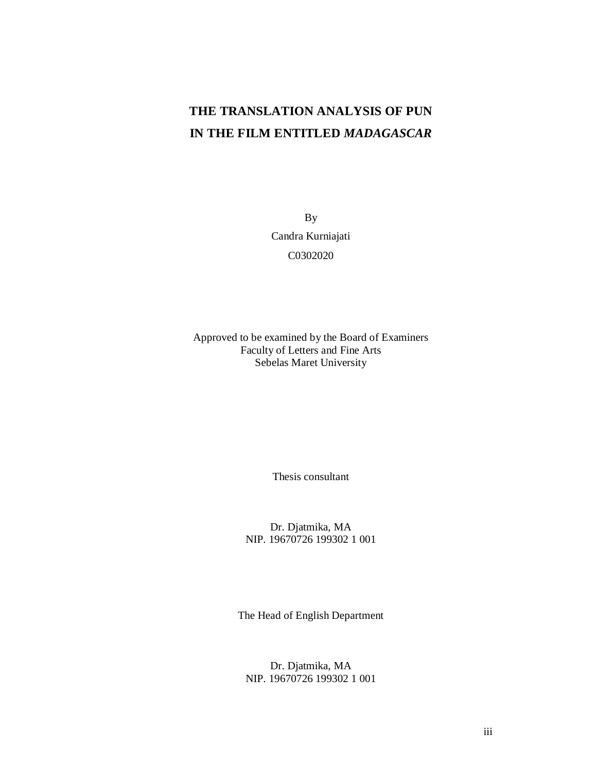# **THE TRANSLATION ANALYSIS OF PUN IN THE FILM ENTITLED** *MADAGASCAR*

By Candra Kurniajati C0302020

Approved to be examined by the Board of Examiners Faculty of Letters and Fine Arts Sebelas Maret University

Thesis consultant

Dr. Djatmika, MA NIP. 19670726 199302 1 001

The Head of English Department

Dr. Djatmika, MA NIP. 19670726 199302 1 001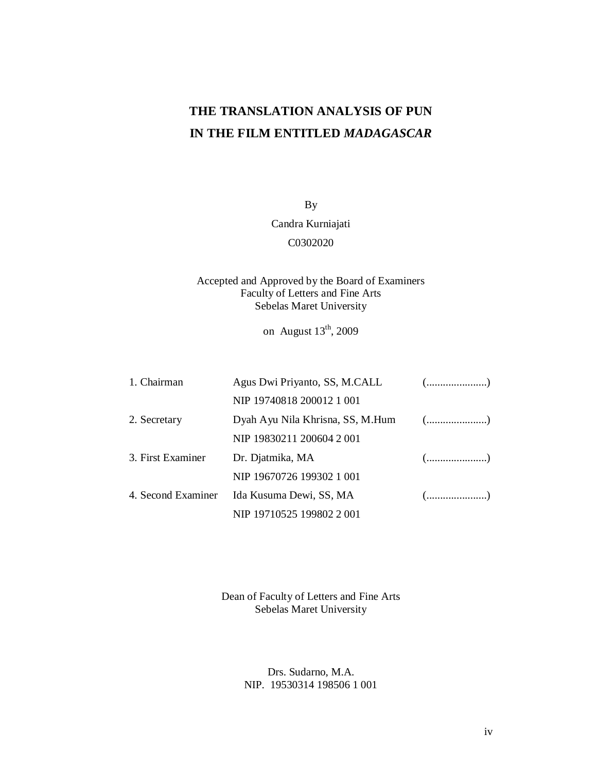# **THE TRANSLATION ANALYSIS OF PUN IN THE FILM ENTITLED** *MADAGASCAR*

By

Candra Kurniajati

C0302020

# Accepted and Approved by the Board of Examiners Faculty of Letters and Fine Arts Sebelas Maret University

on August  $13<sup>th</sup>$ , 2009

| 1. Chairman        | Agus Dwi Priyanto, SS, M.CALL    | $(\ldots,\ldots,\ldots,\ldots,\ldots))$            |
|--------------------|----------------------------------|----------------------------------------------------|
|                    | NIP 19740818 200012 1 001        |                                                    |
| 2. Secretary       | Dyah Ayu Nila Khrisna, SS, M.Hum | $(\ldots,\ldots,\ldots,\ldots,\ldots))$            |
|                    | NIP 19830211 200604 2 001        |                                                    |
| 3. First Examiner  | Dr. Djatmika, MA                 | $(\ldots, \ldots, \ldots, \ldots, \ldots, \ldots)$ |
|                    | NIP 19670726 199302 1 001        |                                                    |
| 4. Second Examiner | Ida Kusuma Dewi, SS, MA          | $(\dots, \dots, \dots, \dots, \dots)$              |
|                    | NIP 19710525 199802 2 001        |                                                    |

Dean of Faculty of Letters and Fine Arts Sebelas Maret University

> Drs. Sudarno, M.A. NIP. 19530314 198506 1 001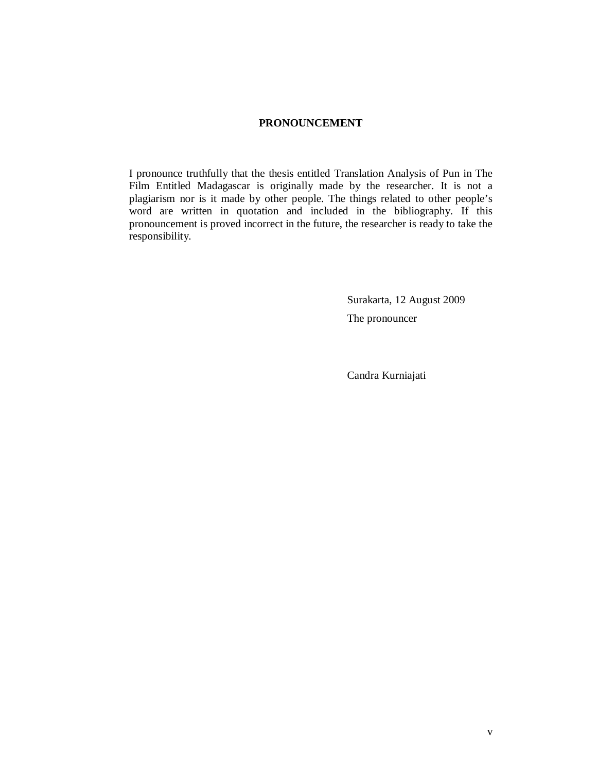# **PRONOUNCEMENT**

I pronounce truthfully that the thesis entitled Translation Analysis of Pun in The Film Entitled Madagascar is originally made by the researcher. It is not a plagiarism nor is it made by other people. The things related to other people's word are written in quotation and included in the bibliography. If this pronouncement is proved incorrect in the future, the researcher is ready to take the responsibility.

> Surakarta, 12 August 2009 The pronouncer

Candra Kurniajati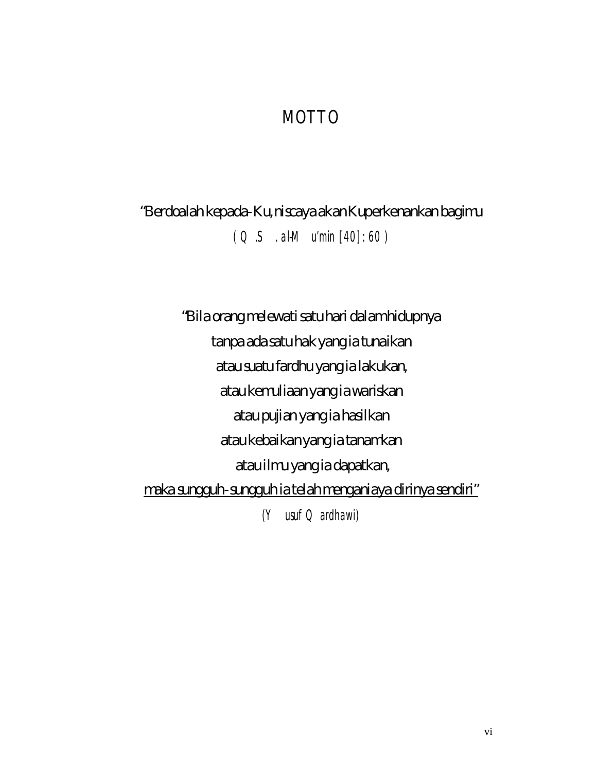# MOTTO

"Berdoalah kepada-Ku, niscaya akan Kuperkenankan bagimu *( Q.S. al-Mu'min [40]: 60 )*

"Bila orang melewati satu hari dalamhidupnya tanpa ada satu hak yang ia tunaikan atau suatu fardhu yang ia lakukan, atau kemuliaan yang ia wariskan atau pujian yang ia hasilkan atau kebaikan yang ia tanamkan atau ilmu yang ia dapatkan, maka sungguh-sungguh ia telah menganiaya dirinya sendiri" *(Yusuf Qardhawi)*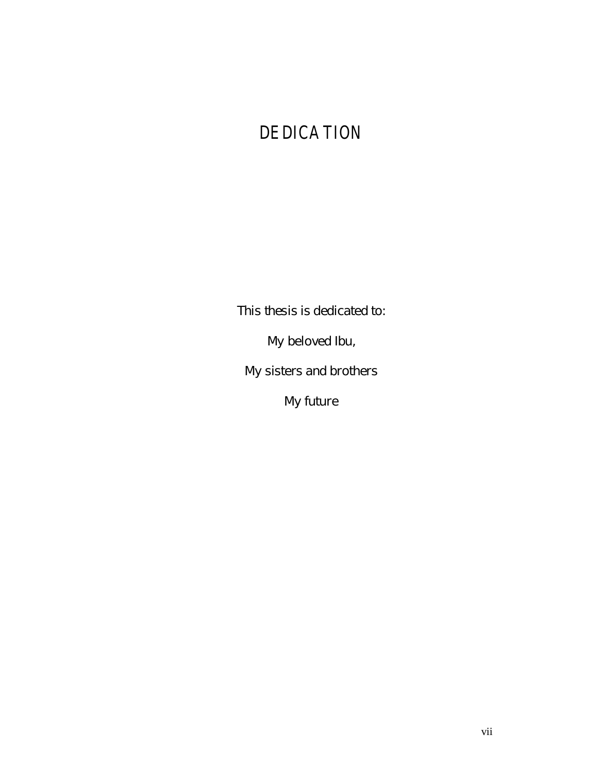# DEDICATION

This thesis is dedicated to:

My beloved Ibu,

My sisters and brothers

My future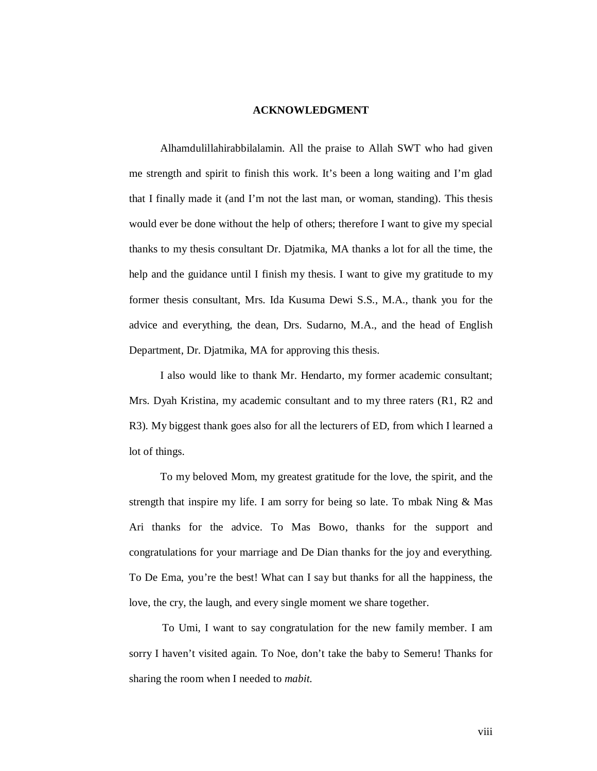#### **ACKNOWLEDGMENT**

Alhamdulillahirabbilalamin. All the praise to Allah SWT who had given me strength and spirit to finish this work. It's been a long waiting and I'm glad that I finally made it (and I'm not the last man, or woman, standing). This thesis would ever be done without the help of others; therefore I want to give my special thanks to my thesis consultant Dr. Djatmika, MA thanks a lot for all the time, the help and the guidance until I finish my thesis. I want to give my gratitude to my former thesis consultant, Mrs. Ida Kusuma Dewi S.S., M.A., thank you for the advice and everything, the dean, Drs. Sudarno, M.A., and the head of English Department, Dr. Djatmika, MA for approving this thesis.

I also would like to thank Mr. Hendarto, my former academic consultant; Mrs. Dyah Kristina, my academic consultant and to my three raters (R1, R2 and R3). My biggest thank goes also for all the lecturers of ED, from which I learned a lot of things.

To my beloved Mom, my greatest gratitude for the love, the spirit, and the strength that inspire my life. I am sorry for being so late. To mbak Ning & Mas Ari thanks for the advice. To Mas Bowo, thanks for the support and congratulations for your marriage and De Dian thanks for the joy and everything. To De Ema, you're the best! What can I say but thanks for all the happiness, the love, the cry, the laugh, and every single moment we share together.

To Umi, I want to say congratulation for the new family member. I am sorry I haven't visited again. To Noe, don't take the baby to Semeru! Thanks for sharing the room when I needed to *mabit*.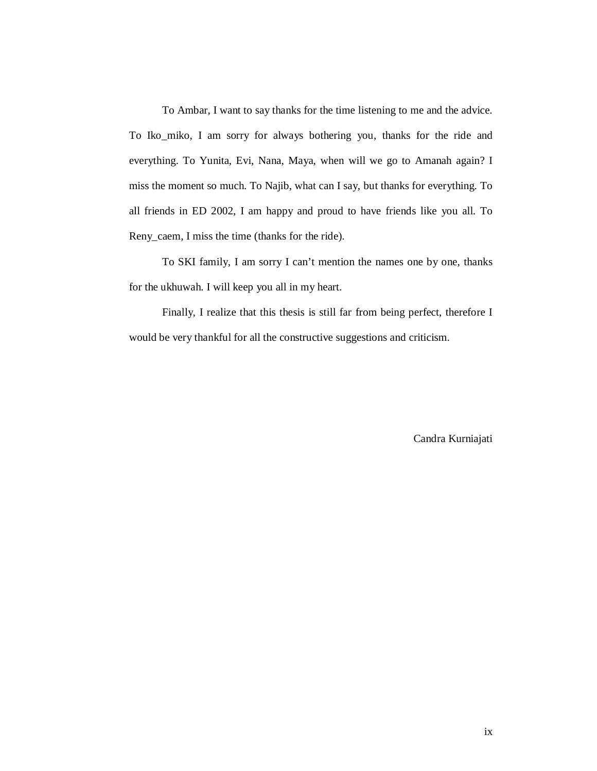To Ambar, I want to say thanks for the time listening to me and the advice. To Iko\_miko, I am sorry for always bothering you, thanks for the ride and everything. To Yunita, Evi, Nana, Maya, when will we go to Amanah again? I miss the moment so much. To Najib, what can I say, but thanks for everything. To all friends in ED 2002, I am happy and proud to have friends like you all. To Reny\_caem, I miss the time (thanks for the ride).

To SKI family, I am sorry I can't mention the names one by one, thanks for the ukhuwah. I will keep you all in my heart.

Finally, I realize that this thesis is still far from being perfect, therefore I would be very thankful for all the constructive suggestions and criticism.

Candra Kurniajati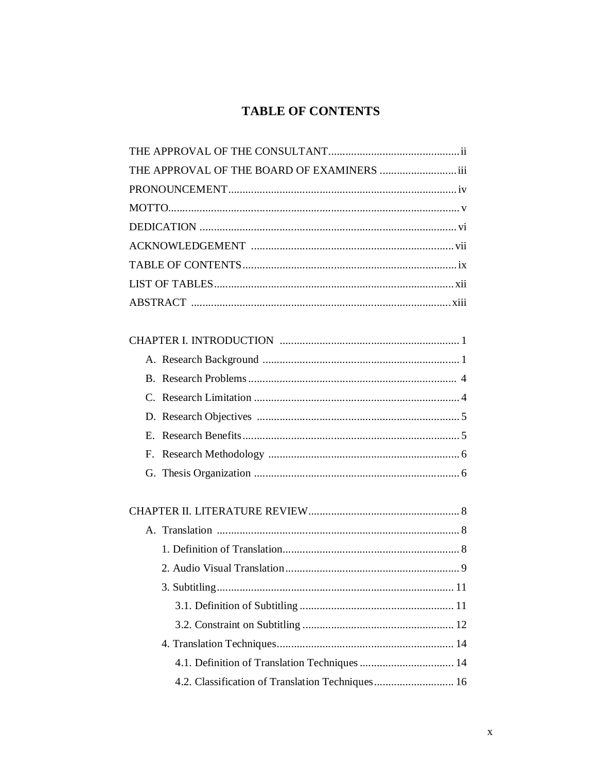# **TABLE OF CONTENTS**

| THE APPROVAL OF THE BOARD OF EXAMINERS iii       |  |
|--------------------------------------------------|--|
|                                                  |  |
|                                                  |  |
|                                                  |  |
|                                                  |  |
|                                                  |  |
|                                                  |  |
|                                                  |  |
|                                                  |  |
|                                                  |  |
|                                                  |  |
|                                                  |  |
|                                                  |  |
|                                                  |  |
|                                                  |  |
|                                                  |  |
|                                                  |  |
|                                                  |  |
|                                                  |  |
|                                                  |  |
|                                                  |  |
|                                                  |  |
|                                                  |  |
|                                                  |  |
|                                                  |  |
|                                                  |  |
| 4.2. Classification of Translation Techniques 16 |  |
|                                                  |  |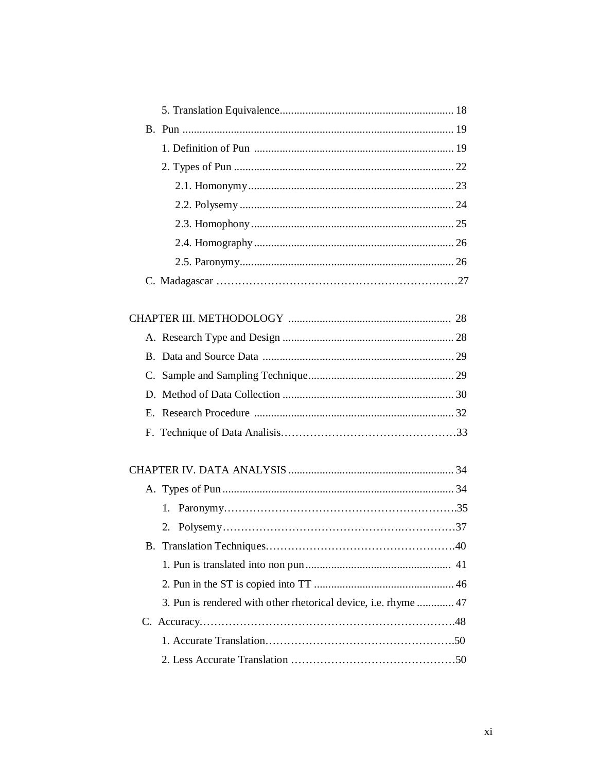| 2.                                                              |  |
|-----------------------------------------------------------------|--|
|                                                                 |  |
|                                                                 |  |
|                                                                 |  |
| 3. Pun is rendered with other rhetorical device, i.e. rhyme  47 |  |
|                                                                 |  |
|                                                                 |  |
|                                                                 |  |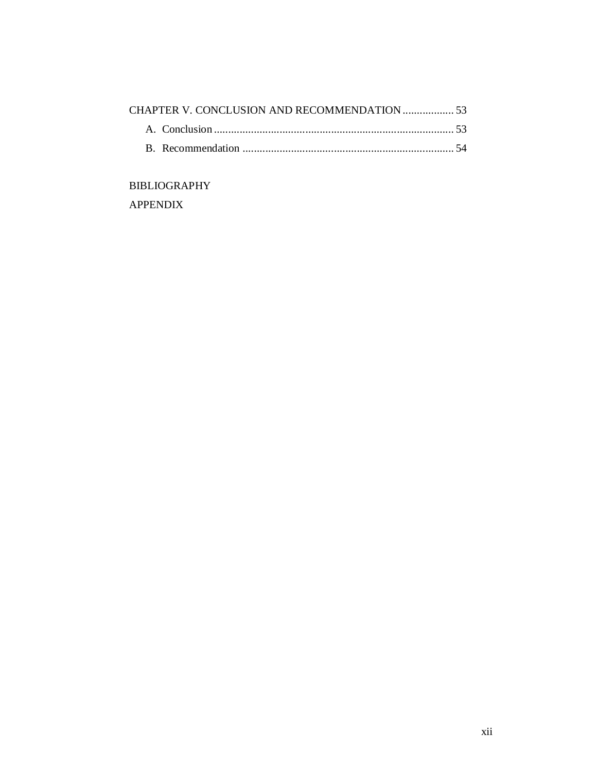# BIBLIOGRAPHY

APPENDIX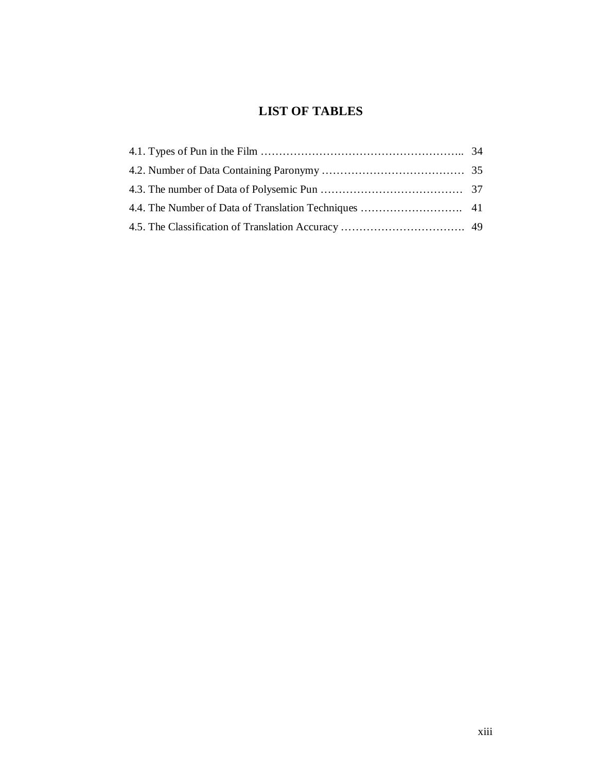# **LIST OF TABLES**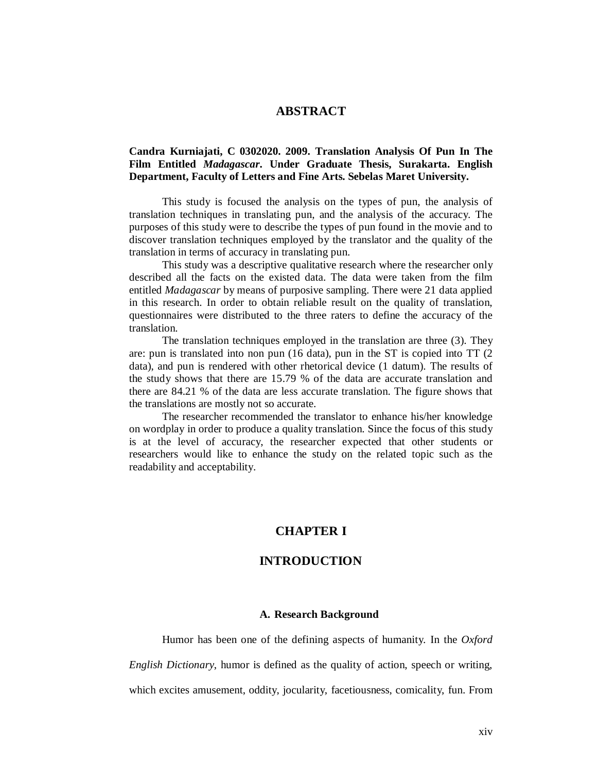# **ABSTRACT**

# **Candra Kurniajati, C 0302020. 2009. Translation Analysis Of Pun In The Film Entitled** *Madagascar***. Under Graduate Thesis, Surakarta. English Department, Faculty of Letters and Fine Arts. Sebelas Maret University.**

This study is focused the analysis on the types of pun, the analysis of translation techniques in translating pun, and the analysis of the accuracy. The purposes of this study were to describe the types of pun found in the movie and to discover translation techniques employed by the translator and the quality of the translation in terms of accuracy in translating pun.

This study was a descriptive qualitative research where the researcher only described all the facts on the existed data. The data were taken from the film entitled *Madagascar* by means of purposive sampling. There were 21 data applied in this research. In order to obtain reliable result on the quality of translation, questionnaires were distributed to the three raters to define the accuracy of the translation.

The translation techniques employed in the translation are three (3). They are: pun is translated into non pun (16 data), pun in the ST is copied into TT (2 data), and pun is rendered with other rhetorical device (1 datum). The results of the study shows that there are 15.79 % of the data are accurate translation and there are 84.21 % of the data are less accurate translation. The figure shows that the translations are mostly not so accurate.

The researcher recommended the translator to enhance his/her knowledge on wordplay in order to produce a quality translation. Since the focus of this study is at the level of accuracy, the researcher expected that other students or researchers would like to enhance the study on the related topic such as the readability and acceptability.

# **CHAPTER I**

# **INTRODUCTION**

#### **A. Research Background**

Humor has been one of the defining aspects of humanity. In the *Oxford English Dictionary*, humor is defined as the quality of action, speech or writing, which excites amusement, oddity, jocularity, facetiousness, comicality, fun. From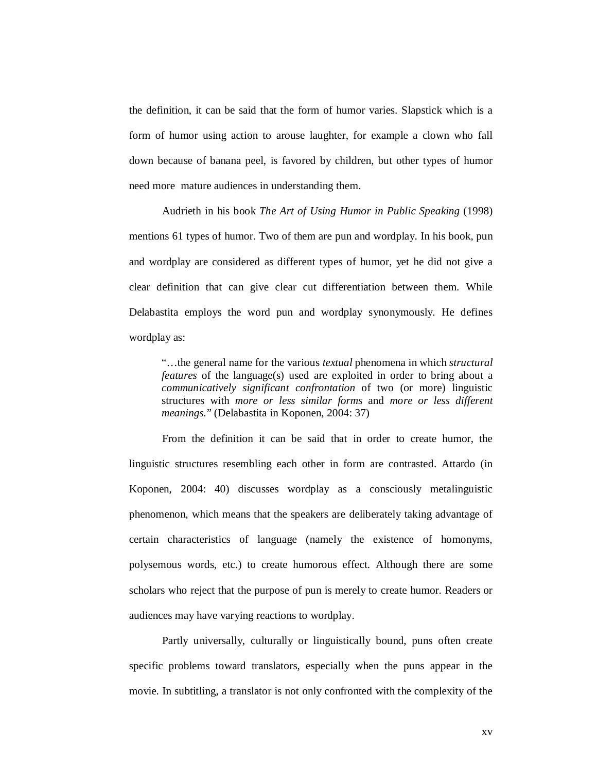the definition, it can be said that the form of humor varies. Slapstick which is a form of humor using action to arouse laughter, for example a clown who fall down because of banana peel, is favored by children, but other types of humor need more mature audiences in understanding them.

Audrieth in his book *The Art of Using Humor in Public Speaking* (1998) mentions 61 types of humor. Two of them are pun and wordplay. In his book, pun and wordplay are considered as different types of humor, yet he did not give a clear definition that can give clear cut differentiation between them. While Delabastita employs the word pun and wordplay synonymously. He defines wordplay as:

"…the general name for the various *textual* phenomena in which *structural features* of the language(s) used are exploited in order to bring about a *communicatively significant confrontation* of two (or more) linguistic structures with *more or less similar forms* and *more or less different meanings.*" (Delabastita in Koponen, 2004: 37)

From the definition it can be said that in order to create humor, the linguistic structures resembling each other in form are contrasted. Attardo (in Koponen, 2004: 40) discusses wordplay as a consciously metalinguistic phenomenon, which means that the speakers are deliberately taking advantage of certain characteristics of language (namely the existence of homonyms, polysemous words, etc.) to create humorous effect. Although there are some scholars who reject that the purpose of pun is merely to create humor. Readers or audiences may have varying reactions to wordplay.

Partly universally, culturally or linguistically bound, puns often create specific problems toward translators, especially when the puns appear in the movie. In subtitling, a translator is not only confronted with the complexity of the

xv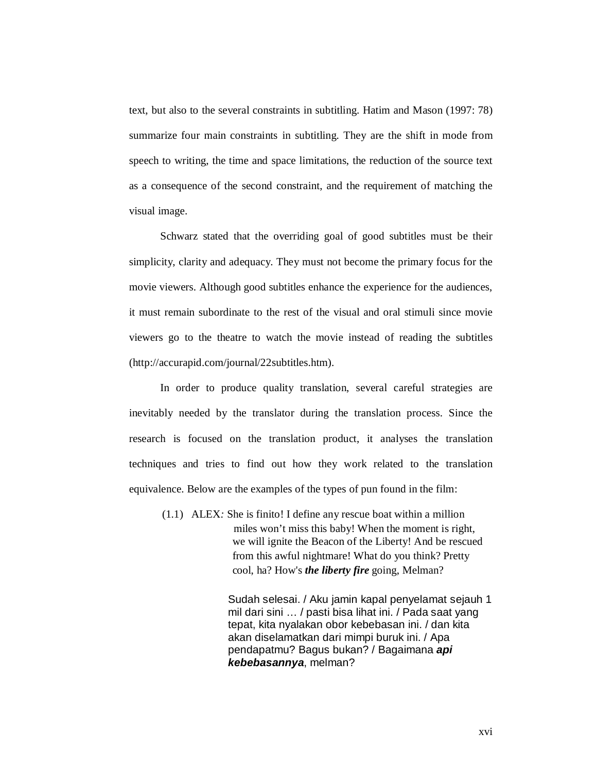text, but also to the several constraints in subtitling. Hatim and Mason (1997: 78) summarize four main constraints in subtitling. They are the shift in mode from speech to writing, the time and space limitations, the reduction of the source text as a consequence of the second constraint, and the requirement of matching the visual image.

Schwarz stated that the overriding goal of good subtitles must be their simplicity, clarity and adequacy. They must not become the primary focus for the movie viewers. Although good subtitles enhance the experience for the audiences, it must remain subordinate to the rest of the visual and oral stimuli since movie viewers go to the theatre to watch the movie instead of reading the subtitles (http://accurapid.com/journal/22subtitles.htm).

In order to produce quality translation, several careful strategies are inevitably needed by the translator during the translation process. Since the research is focused on the translation product, it analyses the translation techniques and tries to find out how they work related to the translation equivalence. Below are the examples of the types of pun found in the film:

(1.1) ALEX*:* She is finito! I define any rescue boat within a million miles won't miss this baby! When the moment is right, we will ignite the Beacon of the Liberty! And be rescued from this awful nightmare! What do you think? Pretty cool, ha? How's *the liberty fire* going, Melman?

> Sudah selesai. / Aku jamin kapal penyelamat sejauh 1 mil dari sini … / pasti bisa lihat ini. / Pada saat yang tepat, kita nyalakan obor kebebasan ini. / dan kita akan diselamatkan dari mimpi buruk ini. / Apa pendapatmu? Bagus bukan? / Bagaimana *api kebebasannya*, melman?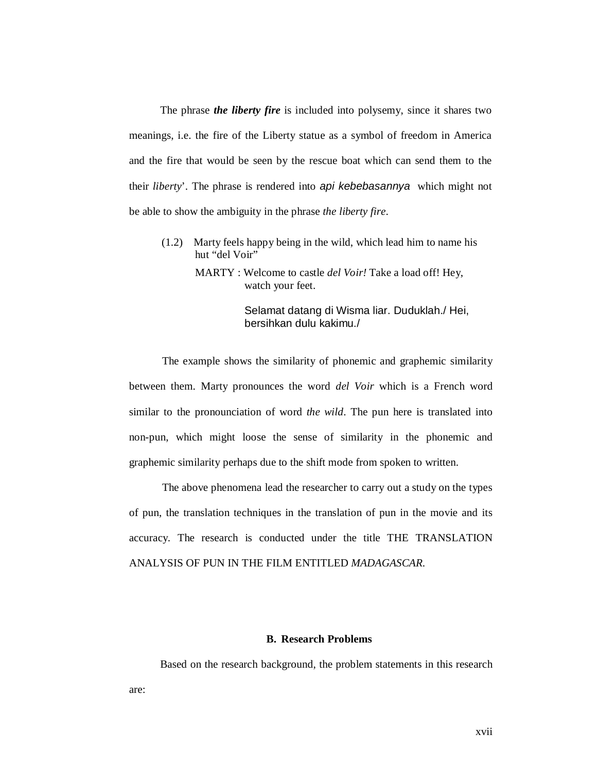The phrase *the liberty fire* is included into polysemy, since it shares two meanings, i.e. the fire of the Liberty statue as a symbol of freedom in America and the fire that would be seen by the rescue boat which can send them to the their *liberty*'. The phrase is rendered into *api kebebasannya* which might not be able to show the ambiguity in the phrase *the liberty fire*.

(1.2) Marty feels happy being in the wild, which lead him to name his hut "del Voir"

> MARTY : Welcome to castle *del Voir!* Take a load off! Hey, watch your feet.

> > Selamat datang di Wisma liar. Duduklah./ Hei, bersihkan dulu kakimu./

The example shows the similarity of phonemic and graphemic similarity between them. Marty pronounces the word *del Voir* which is a French word similar to the pronounciation of word *the wild*. The pun here is translated into non-pun, which might loose the sense of similarity in the phonemic and graphemic similarity perhaps due to the shift mode from spoken to written.

The above phenomena lead the researcher to carry out a study on the types of pun, the translation techniques in the translation of pun in the movie and its accuracy. The research is conducted under the title THE TRANSLATION ANALYSIS OF PUN IN THE FILM ENTITLED *MADAGASCAR.*

# **B. Research Problems**

Based on the research background, the problem statements in this research

are: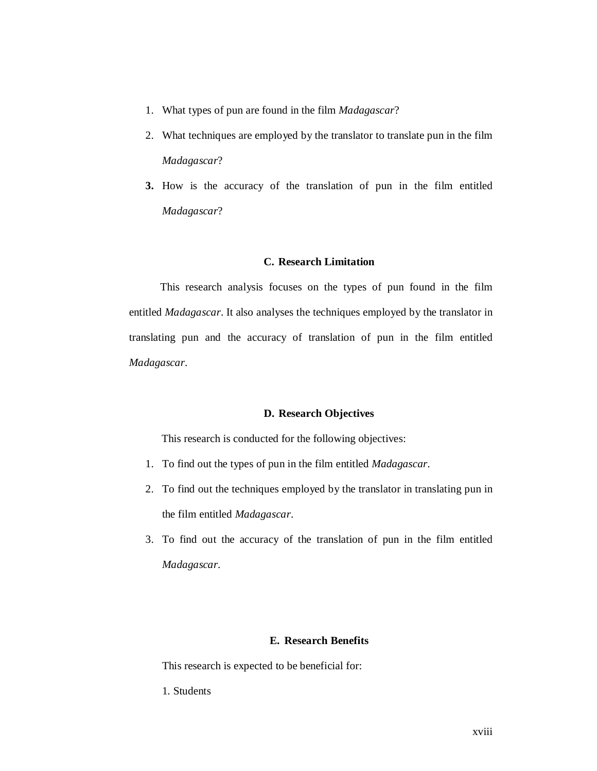- 1. What types of pun are found in the film *Madagascar*?
- 2. What techniques are employed by the translator to translate pun in the film *Madagascar*?
- **3.** How is the accuracy of the translation of pun in the film entitled *Madagascar*?

# **C. Research Limitation**

This research analysis focuses on the types of pun found in the film entitled *Madagascar*. It also analyses the techniques employed by the translator in translating pun and the accuracy of translation of pun in the film entitled *Madagascar*.

#### **D. Research Objectives**

This research is conducted for the following objectives:

- 1. To find out the types of pun in the film entitled *Madagascar*.
- 2. To find out the techniques employed by the translator in translating pun in the film entitled *Madagascar*.
- 3. To find out the accuracy of the translation of pun in the film entitled *Madagascar*.

# **E. Research Benefits**

This research is expected to be beneficial for:

1. Students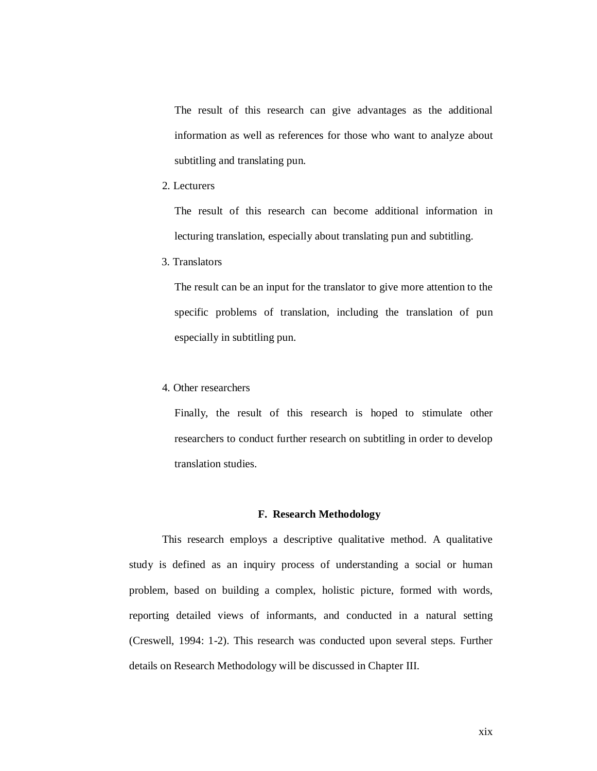The result of this research can give advantages as the additional information as well as references for those who want to analyze about subtitling and translating pun.

2. Lecturers

The result of this research can become additional information in lecturing translation, especially about translating pun and subtitling.

3. Translators

The result can be an input for the translator to give more attention to the specific problems of translation, including the translation of pun especially in subtitling pun.

4. Other researchers

Finally, the result of this research is hoped to stimulate other researchers to conduct further research on subtitling in order to develop translation studies.

#### **F. Research Methodology**

This research employs a descriptive qualitative method. A qualitative study is defined as an inquiry process of understanding a social or human problem, based on building a complex, holistic picture, formed with words, reporting detailed views of informants, and conducted in a natural setting (Creswell, 1994: 1-2). This research was conducted upon several steps. Further details on Research Methodology will be discussed in Chapter III.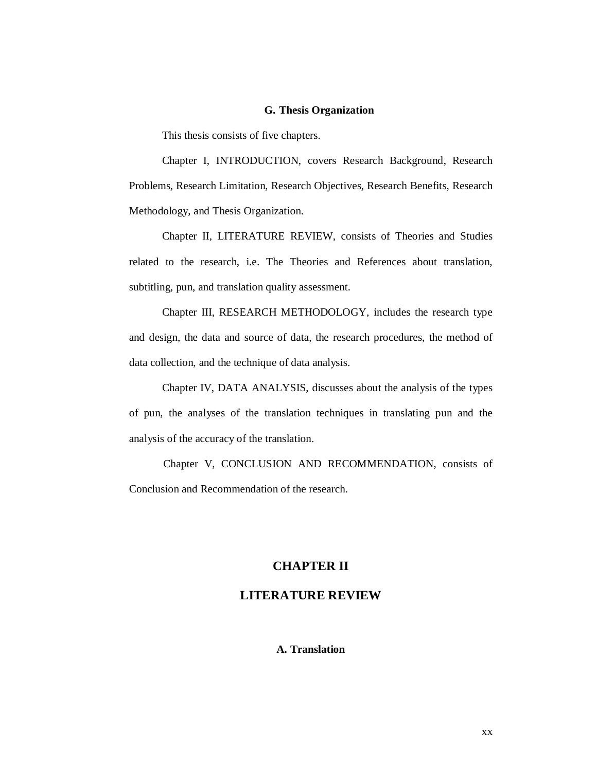#### **G. Thesis Organization**

This thesis consists of five chapters.

Chapter I, INTRODUCTION, covers Research Background, Research Problems, Research Limitation, Research Objectives, Research Benefits, Research Methodology, and Thesis Organization.

Chapter II, LITERATURE REVIEW, consists of Theories and Studies related to the research, i.e. The Theories and References about translation, subtitling, pun, and translation quality assessment.

Chapter III, RESEARCH METHODOLOGY, includes the research type and design, the data and source of data, the research procedures, the method of data collection, and the technique of data analysis.

Chapter IV, DATA ANALYSIS, discusses about the analysis of the types of pun, the analyses of the translation techniques in translating pun and the analysis of the accuracy of the translation.

Chapter V, CONCLUSION AND RECOMMENDATION, consists of Conclusion and Recommendation of the research.

#### **CHAPTER II**

# **LITERATURE REVIEW**

# **A. Translation**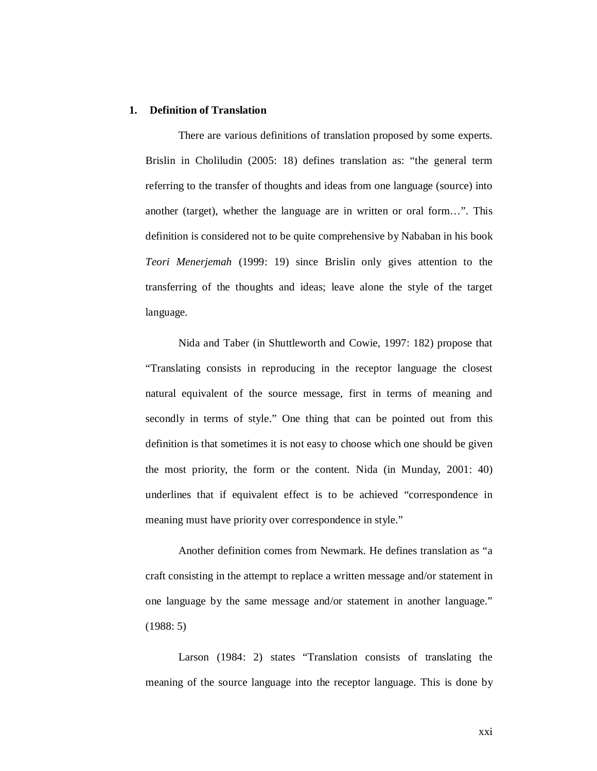#### **1. Definition of Translation**

There are various definitions of translation proposed by some experts. Brislin in Choliludin (2005: 18) defines translation as: "the general term referring to the transfer of thoughts and ideas from one language (source) into another (target), whether the language are in written or oral form…". This definition is considered not to be quite comprehensive by Nababan in his book *Teori Menerjemah* (1999: 19) since Brislin only gives attention to the transferring of the thoughts and ideas; leave alone the style of the target language.

Nida and Taber (in Shuttleworth and Cowie, 1997: 182) propose that "Translating consists in reproducing in the receptor language the closest natural equivalent of the source message, first in terms of meaning and secondly in terms of style." One thing that can be pointed out from this definition is that sometimes it is not easy to choose which one should be given the most priority, the form or the content. Nida (in Munday, 2001: 40) underlines that if equivalent effect is to be achieved "correspondence in meaning must have priority over correspondence in style."

Another definition comes from Newmark. He defines translation as "a craft consisting in the attempt to replace a written message and/or statement in one language by the same message and/or statement in another language." (1988: 5)

Larson (1984: 2) states "Translation consists of translating the meaning of the source language into the receptor language. This is done by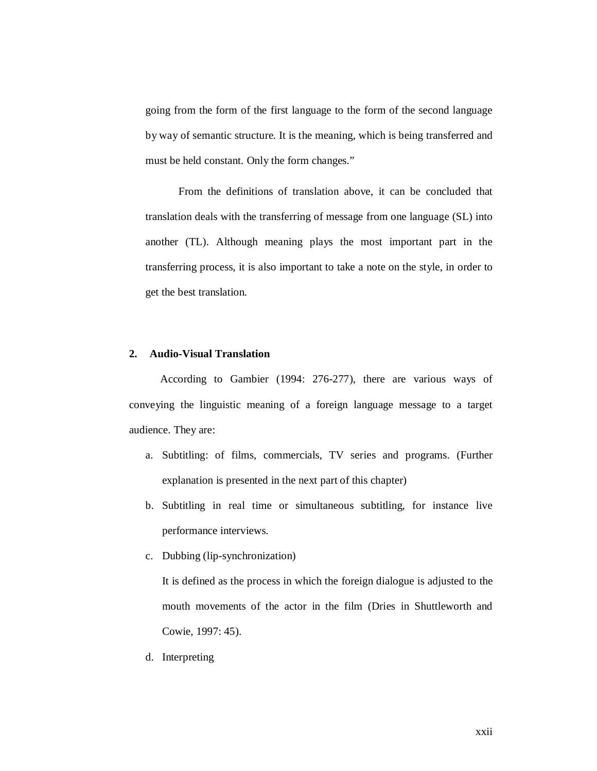going from the form of the first language to the form of the second language by way of semantic structure. It is the meaning, which is being transferred and must be held constant. Only the form changes."

From the definitions of translation above, it can be concluded that translation deals with the transferring of message from one language (SL) into another (TL). Although meaning plays the most important part in the transferring process, it is also important to take a note on the style, in order to get the best translation.

# **2. Audio-Visual Translation**

According to Gambier (1994: 276-277), there are various ways of conveying the linguistic meaning of a foreign language message to a target audience. They are:

- a. Subtitling: of films, commercials, TV series and programs. (Further explanation is presented in the next part of this chapter)
- b. Subtitling in real time or simultaneous subtitling, for instance live performance interviews.
- c. Dubbing (lip-synchronization)

It is defined as the process in which the foreign dialogue is adjusted to the mouth movements of the actor in the film (Dries in Shuttleworth and Cowie, 1997: 45).

d. Interpreting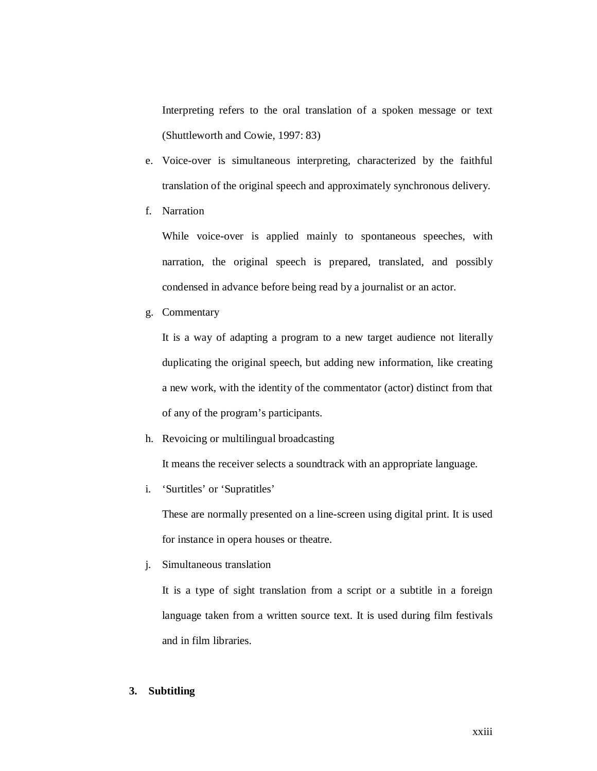Interpreting refers to the oral translation of a spoken message or text (Shuttleworth and Cowie, 1997: 83)

- e. Voice-over is simultaneous interpreting, characterized by the faithful translation of the original speech and approximately synchronous delivery.
- f. Narration

While voice-over is applied mainly to spontaneous speeches, with narration, the original speech is prepared, translated, and possibly condensed in advance before being read by a journalist or an actor.

g. Commentary

It is a way of adapting a program to a new target audience not literally duplicating the original speech, but adding new information, like creating a new work, with the identity of the commentator (actor) distinct from that of any of the program's participants.

h. Revoicing or multilingual broadcasting

It means the receiver selects a soundtrack with an appropriate language.

i. 'Surtitles' or 'Supratitles'

These are normally presented on a line-screen using digital print. It is used for instance in opera houses or theatre.

j. Simultaneous translation

It is a type of sight translation from a script or a subtitle in a foreign language taken from a written source text. It is used during film festivals and in film libraries.

# **3. Subtitling**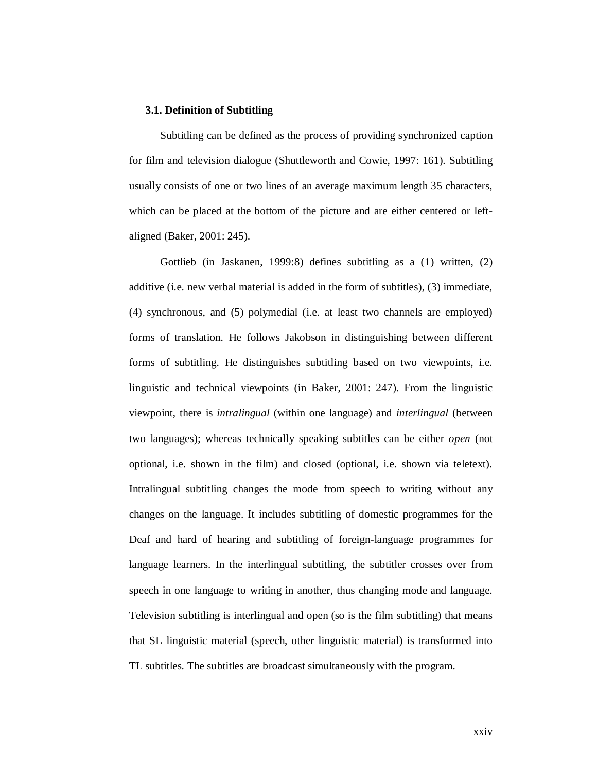#### **3.1. Definition of Subtitling**

Subtitling can be defined as the process of providing synchronized caption for film and television dialogue (Shuttleworth and Cowie, 1997: 161). Subtitling usually consists of one or two lines of an average maximum length 35 characters, which can be placed at the bottom of the picture and are either centered or leftaligned (Baker, 2001: 245).

Gottlieb (in Jaskanen, 1999:8) defines subtitling as a (1) written, (2) additive (i.e. new verbal material is added in the form of subtitles), (3) immediate, (4) synchronous, and (5) polymedial (i.e. at least two channels are employed) forms of translation. He follows Jakobson in distinguishing between different forms of subtitling. He distinguishes subtitling based on two viewpoints, i.e. linguistic and technical viewpoints (in Baker, 2001: 247). From the linguistic viewpoint, there is *intralingual* (within one language) and *interlingual* (between two languages); whereas technically speaking subtitles can be either *open* (not optional, i.e. shown in the film) and closed (optional, i.e. shown via teletext). Intralingual subtitling changes the mode from speech to writing without any changes on the language. It includes subtitling of domestic programmes for the Deaf and hard of hearing and subtitling of foreign-language programmes for language learners. In the interlingual subtitling, the subtitler crosses over from speech in one language to writing in another, thus changing mode and language. Television subtitling is interlingual and open (so is the film subtitling) that means that SL linguistic material (speech, other linguistic material) is transformed into TL subtitles. The subtitles are broadcast simultaneously with the program.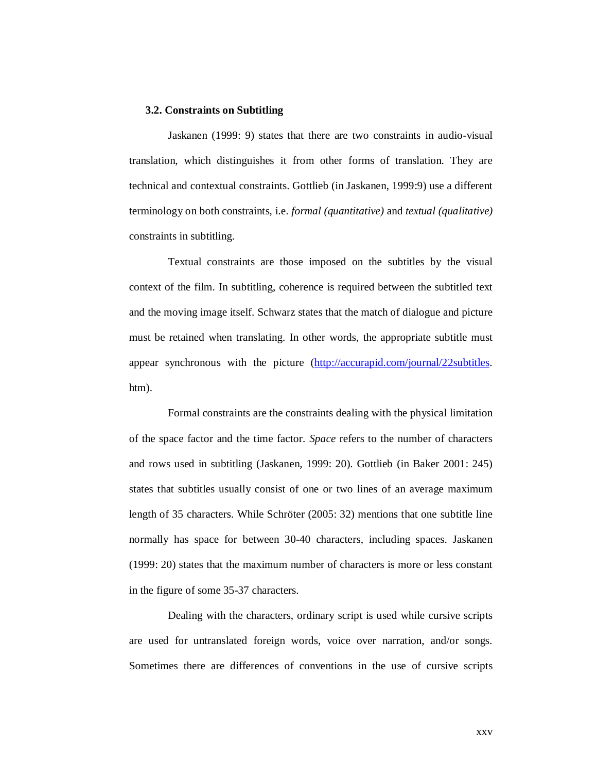#### **3.2. Constraints on Subtitling**

Jaskanen (1999: 9) states that there are two constraints in audio-visual translation, which distinguishes it from other forms of translation. They are technical and contextual constraints. Gottlieb (in Jaskanen, 1999:9) use a different terminology on both constraints, i.e. *formal (quantitative)* and *textual (qualitative)* constraints in subtitling.

Textual constraints are those imposed on the subtitles by the visual context of the film. In subtitling, coherence is required between the subtitled text and the moving image itself. Schwarz states that the match of dialogue and picture must be retained when translating. In other words, the appropriate subtitle must appear synchronous with the picture (http://accurapid.com/journal/22subtitles. htm).

Formal constraints are the constraints dealing with the physical limitation of the space factor and the time factor. *Space* refers to the number of characters and rows used in subtitling (Jaskanen, 1999: 20). Gottlieb (in Baker 2001: 245) states that subtitles usually consist of one or two lines of an average maximum length of 35 characters. While Schröter (2005: 32) mentions that one subtitle line normally has space for between 30-40 characters, including spaces. Jaskanen (1999: 20) states that the maximum number of characters is more or less constant in the figure of some 35-37 characters.

Dealing with the characters, ordinary script is used while cursive scripts are used for untranslated foreign words, voice over narration, and/or songs. Sometimes there are differences of conventions in the use of cursive scripts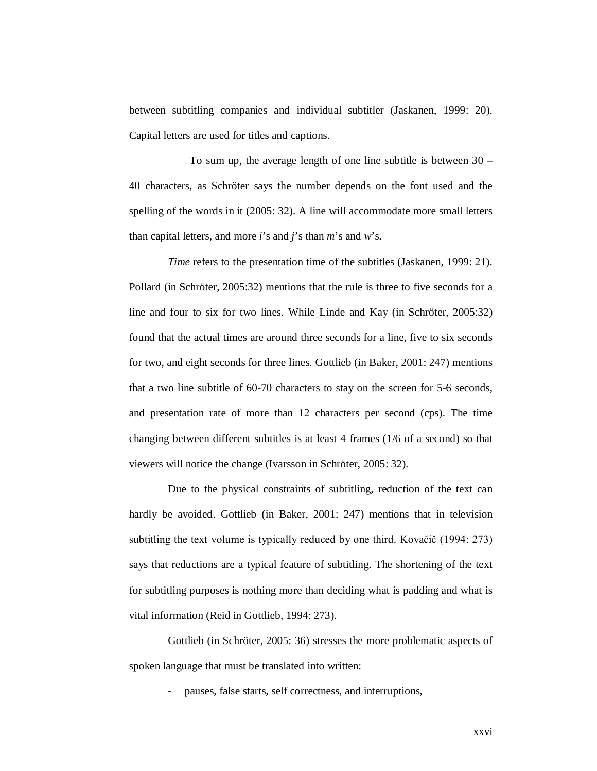between subtitling companies and individual subtitler (Jaskanen, 1999: 20). Capital letters are used for titles and captions.

 To sum up, the average length of one line subtitle is between 30 – 40 characters, as Schröter says the number depends on the font used and the spelling of the words in it (2005: 32). A line will accommodate more small letters than capital letters, and more *i*'s and *j*'s than *m*'s and *w*'s.

*Time* refers to the presentation time of the subtitles (Jaskanen, 1999: 21). Pollard (in Schröter, 2005:32) mentions that the rule is three to five seconds for a line and four to six for two lines. While Linde and Kay (in Schröter, 2005:32) found that the actual times are around three seconds for a line, five to six seconds for two, and eight seconds for three lines. Gottlieb (in Baker, 2001: 247) mentions that a two line subtitle of 60-70 characters to stay on the screen for 5-6 seconds, and presentation rate of more than 12 characters per second (cps). The time changing between different subtitles is at least 4 frames (1/6 of a second) so that viewers will notice the change (Ivarsson in Schröter, 2005: 32).

Due to the physical constraints of subtitling, reduction of the text can hardly be avoided. Gottlieb (in Baker, 2001: 247) mentions that in television subtitling the text volume is typically reduced by one third. Kovačič (1994: 273) says that reductions are a typical feature of subtitling. The shortening of the text for subtitling purposes is nothing more than deciding what is padding and what is vital information (Reid in Gottlieb, 1994: 273).

Gottlieb (in Schröter, 2005: 36) stresses the more problematic aspects of spoken language that must be translated into written:

- pauses, false starts, self correctness, and interruptions,

xxvi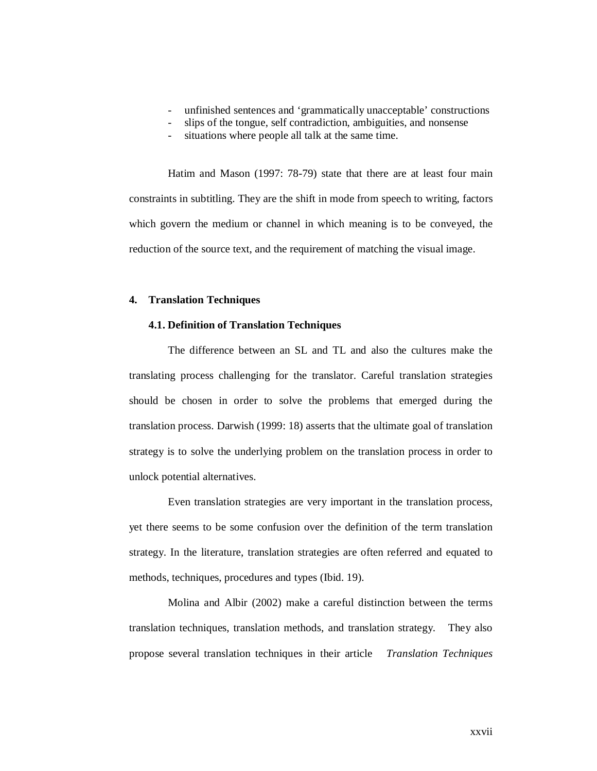- unfinished sentences and 'grammatically unacceptable' constructions
- slips of the tongue, self contradiction, ambiguities, and nonsense
- situations where people all talk at the same time.

Hatim and Mason (1997: 78-79) state that there are at least four main constraints in subtitling. They are the shift in mode from speech to writing, factors which govern the medium or channel in which meaning is to be conveyed, the reduction of the source text, and the requirement of matching the visual image.

## **4. Translation Techniques**

#### **4.1. Definition of Translation Techniques**

The difference between an SL and TL and also the cultures make the translating process challenging for the translator. Careful translation strategies should be chosen in order to solve the problems that emerged during the translation process. Darwish (1999: 18) asserts that the ultimate goal of translation strategy is to solve the underlying problem on the translation process in order to unlock potential alternatives.

Even translation strategies are very important in the translation process, yet there seems to be some confusion over the definition of the term translation strategy. In the literature, translation strategies are often referred and equated to methods, techniques, procedures and types (Ibid. 19).

Molina and Albir (2002) make a careful distinction between the terms translation techniques, translation methods, and translation strategy. They also propose several translation techniques in their article *Translation Techniques*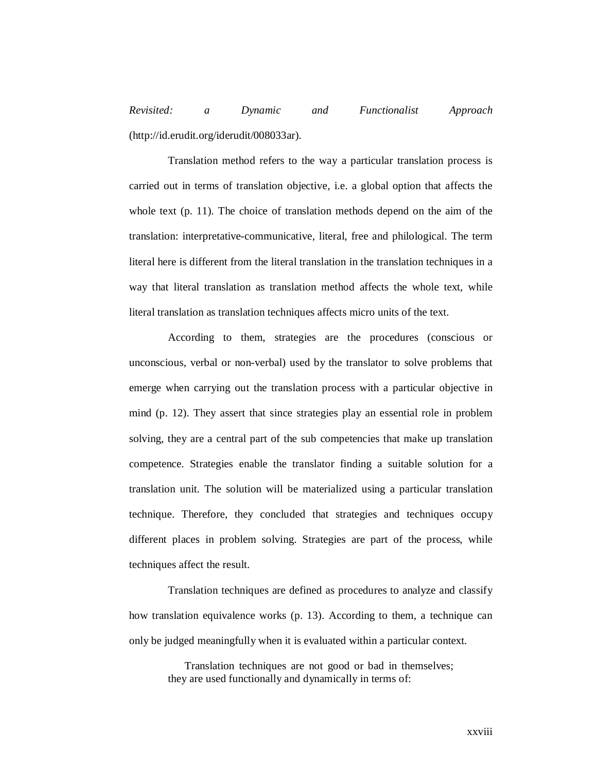*Revisited: a Dynamic and Functionalist Approach* (http://id.erudit.org/iderudit/008033ar).

Translation method refers to the way a particular translation process is carried out in terms of translation objective, i.e. a global option that affects the whole text (p. 11). The choice of translation methods depend on the aim of the translation: interpretative-communicative, literal, free and philological. The term literal here is different from the literal translation in the translation techniques in a way that literal translation as translation method affects the whole text, while literal translation as translation techniques affects micro units of the text.

According to them, strategies are the procedures (conscious or unconscious, verbal or non-verbal) used by the translator to solve problems that emerge when carrying out the translation process with a particular objective in mind (p. 12). They assert that since strategies play an essential role in problem solving, they are a central part of the sub competencies that make up translation competence. Strategies enable the translator finding a suitable solution for a translation unit. The solution will be materialized using a particular translation technique. Therefore, they concluded that strategies and techniques occupy different places in problem solving. Strategies are part of the process, while techniques affect the result.

Translation techniques are defined as procedures to analyze and classify how translation equivalence works (p. 13). According to them, a technique can only be judged meaningfully when it is evaluated within a particular context.

> Translation techniques are not good or bad in themselves; they are used functionally and dynamically in terms of: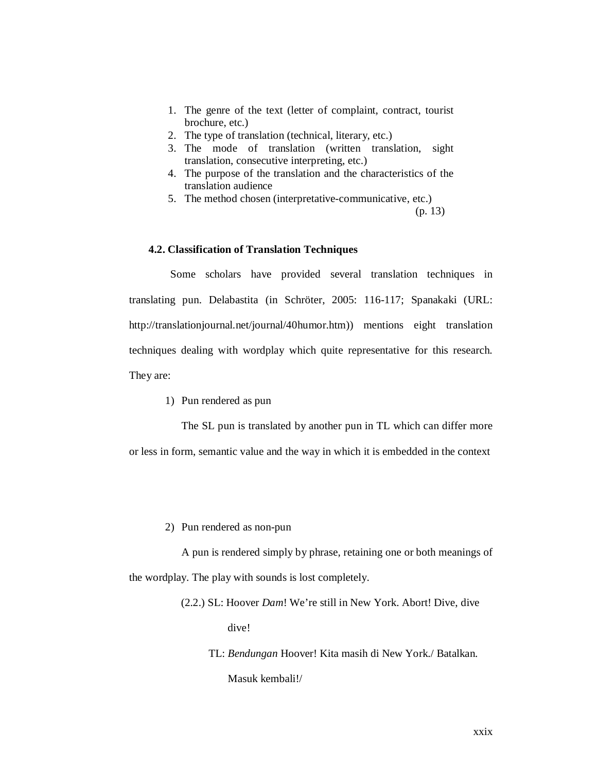- 1. The genre of the text (letter of complaint, contract, tourist brochure, etc.)
- 2. The type of translation (technical, literary, etc.)
- 3. The mode of translation (written translation, sight translation, consecutive interpreting, etc.)
- 4. The purpose of the translation and the characteristics of the translation audience
- 5. The method chosen (interpretative-communicative, etc.)

(p. 13)

#### **4.2. Classification of Translation Techniques**

Some scholars have provided several translation techniques in translating pun. Delabastita (in Schröter, 2005: 116-117; Spanakaki (URL: http://translationjournal.net/journal/40humor.htm)) mentions eight translation techniques dealing with wordplay which quite representative for this research. They are:

1) Pun rendered as pun

The SL pun is translated by another pun in TL which can differ more or less in form, semantic value and the way in which it is embedded in the context

2) Pun rendered as non-pun

A pun is rendered simply by phrase, retaining one or both meanings of the wordplay. The play with sounds is lost completely.

(2.2.) SL: Hoover *Dam*! We're still in New York. Abort! Dive, dive

dive!

TL: *Bendungan* Hoover! Kita masih di New York./ Batalkan.

Masuk kembali!/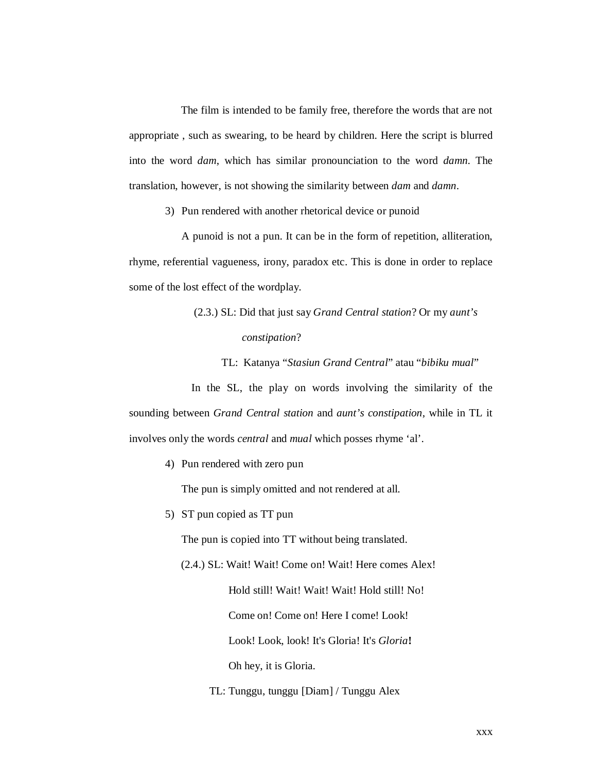The film is intended to be family free, therefore the words that are not appropriate , such as swearing, to be heard by children. Here the script is blurred into the word *dam*, which has similar pronounciation to the word *damn*. The translation, however, is not showing the similarity between *dam* and *damn*.

3) Pun rendered with another rhetorical device or punoid

A punoid is not a pun. It can be in the form of repetition, alliteration, rhyme, referential vagueness, irony, paradox etc. This is done in order to replace some of the lost effect of the wordplay.

> (2.3.) SL: Did that just say *Grand Central station*? Or my *aunt's constipation*?

TL: Katanya "*Stasiun Grand Central*" atau "*bibiku mual*"

In the SL, the play on words involving the similarity of the sounding between *Grand Central station* and *aunt's constipation*, while in TL it involves only the words *central* and *mual* which posses rhyme 'al'.

4) Pun rendered with zero pun

The pun is simply omitted and not rendered at all.

5) ST pun copied as TT pun

The pun is copied into TT without being translated.

(2.4.) SL: Wait! Wait! Come on! Wait! Here comes Alex!

Hold still! Wait! Wait! Wait! Hold still! No!

Come on! Come on! Here I come! Look!

Look! Look, look! It's Gloria! It's *Gloria***!**

Oh hey, it is Gloria.

TL: Tunggu, tunggu [Diam] / Tunggu Alex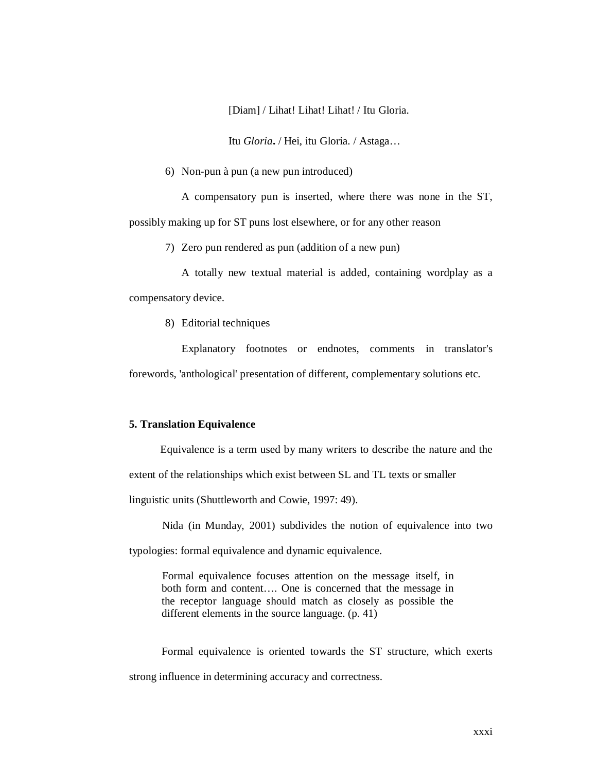[Diam] / Lihat! Lihat! Lihat! / Itu Gloria.

Itu *Gloria***.** / Hei, itu Gloria. / Astaga…

6) Non-pun à pun (a new pun introduced)

A compensatory pun is inserted, where there was none in the ST, possibly making up for ST puns lost elsewhere, or for any other reason

7) Zero pun rendered as pun (addition of a new pun)

A totally new textual material is added, containing wordplay as a compensatory device.

8) Editorial techniques

Explanatory footnotes or endnotes, comments in translator's forewords, 'anthological' presentation of different, complementary solutions etc.

#### **5. Translation Equivalence**

Equivalence is a term used by many writers to describe the nature and the extent of the relationships which exist between SL and TL texts or smaller linguistic units (Shuttleworth and Cowie, 1997: 49).

Nida (in Munday, 2001) subdivides the notion of equivalence into two

typologies: formal equivalence and dynamic equivalence.

Formal equivalence focuses attention on the message itself, in both form and content…. One is concerned that the message in the receptor language should match as closely as possible the different elements in the source language. (p. 41)

Formal equivalence is oriented towards the ST structure, which exerts strong influence in determining accuracy and correctness.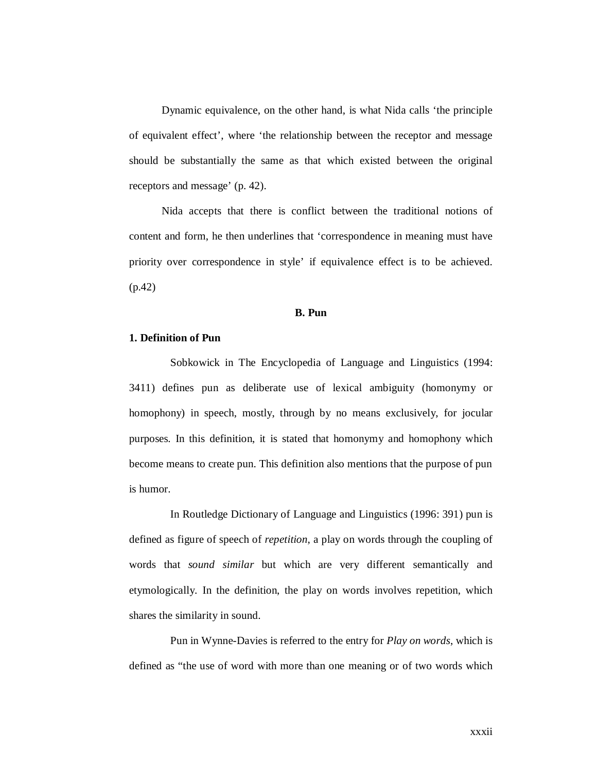Dynamic equivalence, on the other hand, is what Nida calls 'the principle of equivalent effect', where 'the relationship between the receptor and message should be substantially the same as that which existed between the original receptors and message' (p. 42).

Nida accepts that there is conflict between the traditional notions of content and form, he then underlines that 'correspondence in meaning must have priority over correspondence in style' if equivalence effect is to be achieved. (p.42)

#### **B. Pun**

## **1. Definition of Pun**

Sobkowick in The Encyclopedia of Language and Linguistics (1994: 3411) defines pun as deliberate use of lexical ambiguity (homonymy or homophony) in speech, mostly, through by no means exclusively, for jocular purposes*.* In this definition, it is stated that homonymy and homophony which become means to create pun. This definition also mentions that the purpose of pun is humor.

In Routledge Dictionary of Language and Linguistics (1996: 391) pun is defined as figure of speech of *repetition*, a play on words through the coupling of words that *sound similar* but which are very different semantically and etymologically. In the definition, the play on words involves repetition, which shares the similarity in sound.

Pun in Wynne-Davies is referred to the entry for *Play on words*, which is defined as "the use of word with more than one meaning or of two words which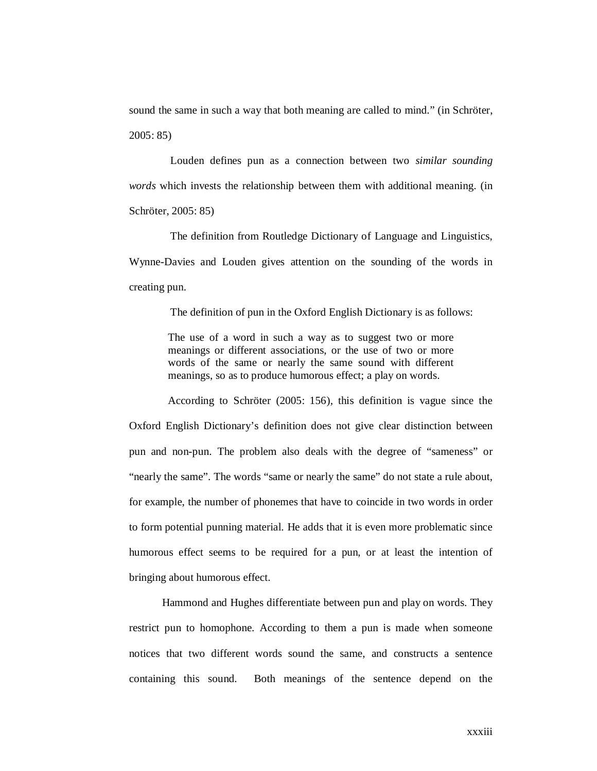sound the same in such a way that both meaning are called to mind." (in Schröter, 2005: 85)

Louden defines pun as a connection between two *similar sounding words* which invests the relationship between them with additional meaning. (in Schröter, 2005: 85)

The definition from Routledge Dictionary of Language and Linguistics, Wynne-Davies and Louden gives attention on the sounding of the words in creating pun.

The definition of pun in the Oxford English Dictionary is as follows:

The use of a word in such a way as to suggest two or more meanings or different associations, or the use of two or more words of the same or nearly the same sound with different meanings, so as to produce humorous effect; a play on words.

According to Schröter (2005: 156), this definition is vague since the Oxford English Dictionary's definition does not give clear distinction between pun and non-pun. The problem also deals with the degree of "sameness" or "nearly the same". The words "same or nearly the same" do not state a rule about, for example, the number of phonemes that have to coincide in two words in order to form potential punning material. He adds that it is even more problematic since humorous effect seems to be required for a pun, or at least the intention of bringing about humorous effect.

Hammond and Hughes differentiate between pun and play on words. They restrict pun to homophone. According to them a pun is made when someone notices that two different words sound the same, and constructs a sentence containing this sound. Both meanings of the sentence depend on the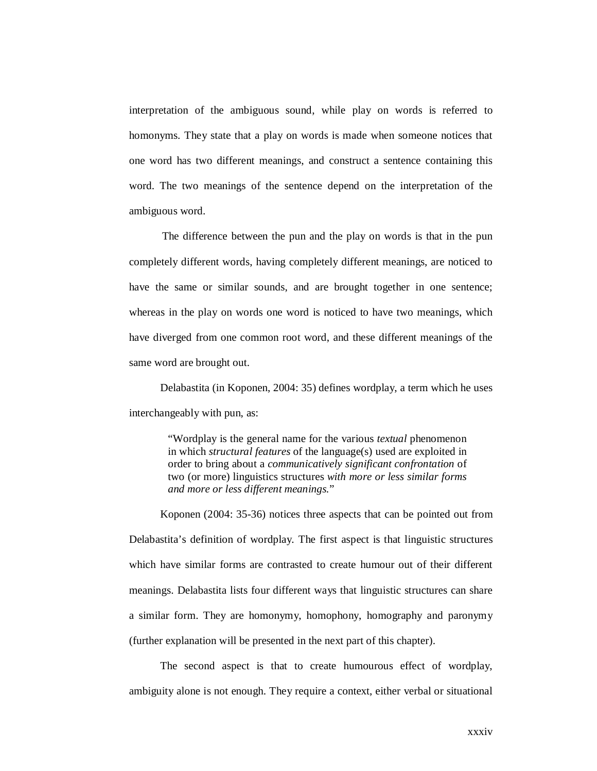interpretation of the ambiguous sound, while play on words is referred to homonyms. They state that a play on words is made when someone notices that one word has two different meanings, and construct a sentence containing this word. The two meanings of the sentence depend on the interpretation of the ambiguous word.

The difference between the pun and the play on words is that in the pun completely different words, having completely different meanings, are noticed to have the same or similar sounds, and are brought together in one sentence; whereas in the play on words one word is noticed to have two meanings, which have diverged from one common root word, and these different meanings of the same word are brought out.

Delabastita (in Koponen, 2004: 35) defines wordplay, a term which he uses interchangeably with pun, as:

> "Wordplay is the general name for the various *textual* phenomenon in which *structural features* of the language(s) used are exploited in order to bring about a *communicatively significant confrontation* of two (or more) linguistics structures *with more or less similar forms and more or less different meanings.*"

Koponen (2004: 35-36) notices three aspects that can be pointed out from Delabastita's definition of wordplay. The first aspect is that linguistic structures which have similar forms are contrasted to create humour out of their different meanings. Delabastita lists four different ways that linguistic structures can share a similar form. They are homonymy, homophony, homography and paronymy (further explanation will be presented in the next part of this chapter).

The second aspect is that to create humourous effect of wordplay, ambiguity alone is not enough. They require a context, either verbal or situational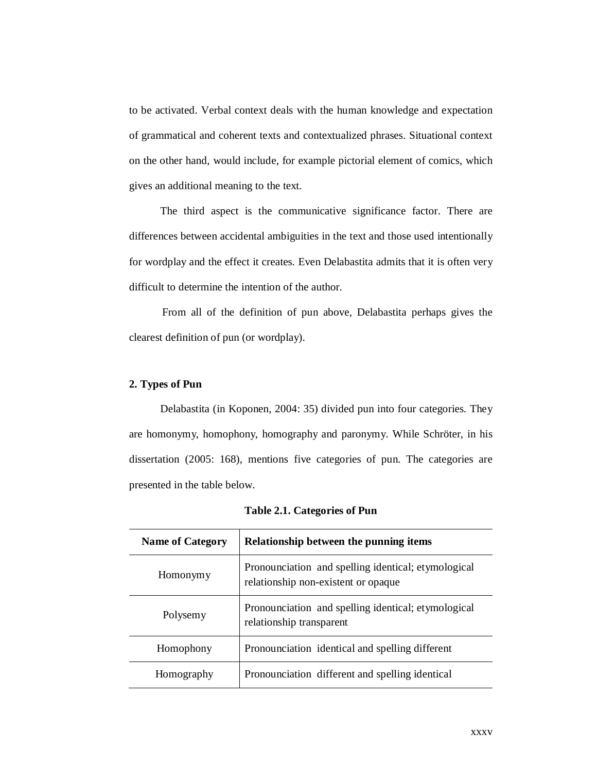to be activated. Verbal context deals with the human knowledge and expectation of grammatical and coherent texts and contextualized phrases. Situational context on the other hand, would include, for example pictorial element of comics, which gives an additional meaning to the text.

The third aspect is the communicative significance factor. There are differences between accidental ambiguities in the text and those used intentionally for wordplay and the effect it creates. Even Delabastita admits that it is often very difficult to determine the intention of the author.

From all of the definition of pun above, Delabastita perhaps gives the clearest definition of pun (or wordplay).

# **2. Types of Pun**

Delabastita (in Koponen, 2004: 35) divided pun into four categories. They are homonymy, homophony, homography and paronymy. While Schröter, in his dissertation (2005: 168), mentions five categories of pun. The categories are presented in the table below.

| <b>Name of Category</b> | Relationship between the punning items                                                     |  |
|-------------------------|--------------------------------------------------------------------------------------------|--|
| Homonymy                | Pronounciation and spelling identical; etymological<br>relationship non-existent or opaque |  |
| Polysemy                | Pronounciation and spelling identical; etymological<br>relationship transparent            |  |
| Homophony               | Pronounciation identical and spelling different                                            |  |
| Homography              | Pronounciation different and spelling identical                                            |  |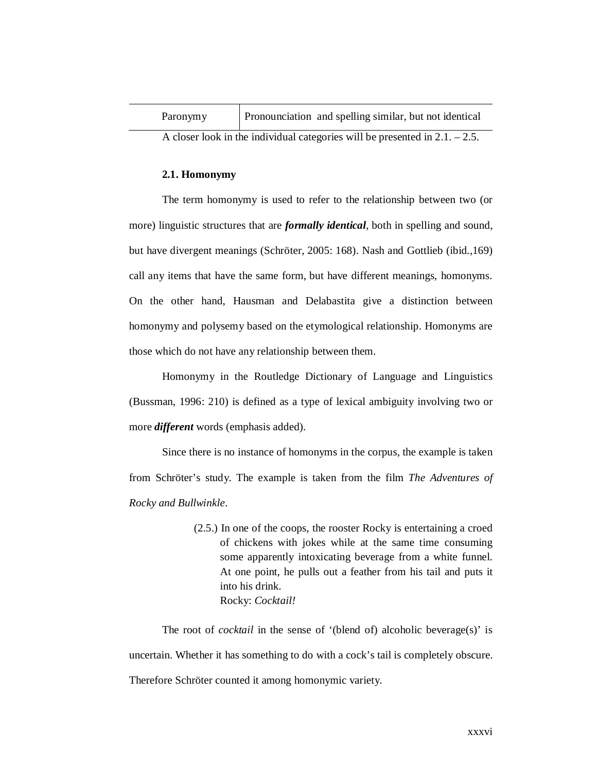| Paronymy                                                                      | Pronounciation and spelling similar, but not identical |  |
|-------------------------------------------------------------------------------|--------------------------------------------------------|--|
| A closer look in the individual categories will be presented in $2.1 - 2.5$ . |                                                        |  |

#### **2.1. Homonymy**

The term homonymy is used to refer to the relationship between two (or more) linguistic structures that are *formally identical*, both in spelling and sound, but have divergent meanings (Schröter, 2005: 168). Nash and Gottlieb (ibid.,169) call any items that have the same form, but have different meanings, homonyms. On the other hand, Hausman and Delabastita give a distinction between homonymy and polysemy based on the etymological relationship. Homonyms are those which do not have any relationship between them.

Homonymy in the Routledge Dictionary of Language and Linguistics (Bussman, 1996: 210) is defined as a type of lexical ambiguity involving two or more *different* words (emphasis added).

Since there is no instance of homonyms in the corpus, the example is taken from Schröter's study. The example is taken from the film *The Adventures of Rocky and Bullwinkle*.

> (2.5.) In one of the coops, the rooster Rocky is entertaining a croed of chickens with jokes while at the same time consuming some apparently intoxicating beverage from a white funnel. At one point, he pulls out a feather from his tail and puts it into his drink. Rocky: *Cocktail!*

The root of *cocktail* in the sense of '(blend of) alcoholic beverage(s)' is uncertain. Whether it has something to do with a cock's tail is completely obscure. Therefore Schröter counted it among homonymic variety.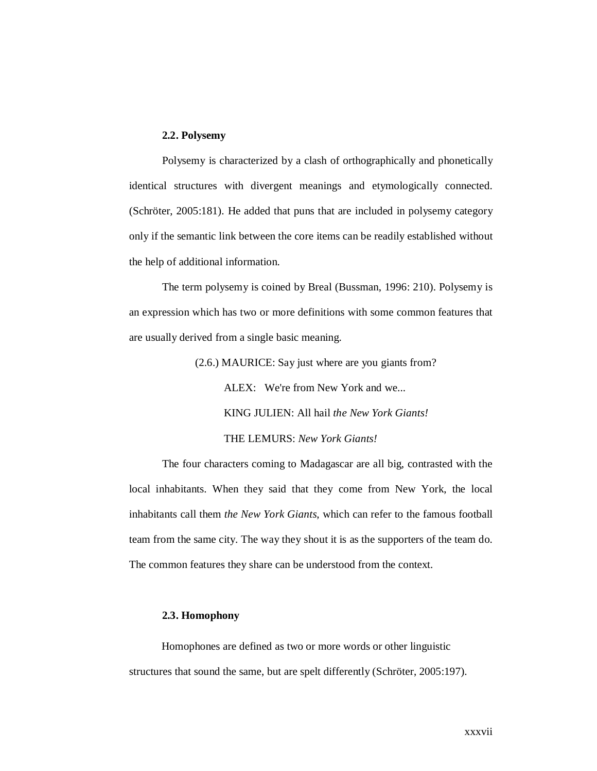#### **2.2. Polysemy**

Polysemy is characterized by a clash of orthographically and phonetically identical structures with divergent meanings and etymologically connected. (Schröter, 2005:181). He added that puns that are included in polysemy category only if the semantic link between the core items can be readily established without the help of additional information.

The term polysemy is coined by Breal (Bussman, 1996: 210). Polysemy is an expression which has two or more definitions with some common features that are usually derived from a single basic meaning.

> (2.6.) MAURICE: Say just where are you giants from? ALEX: We're from New York and we... KING JULIEN: All hail *the New York Giants!* THE LEMURS: *New York Giants!*

The four characters coming to Madagascar are all big, contrasted with the local inhabitants. When they said that they come from New York, the local inhabitants call them *the New York Giants*, which can refer to the famous football team from the same city. The way they shout it is as the supporters of the team do. The common features they share can be understood from the context.

#### **2.3. Homophony**

Homophones are defined as two or more words or other linguistic structures that sound the same, but are spelt differently (Schröter, 2005:197).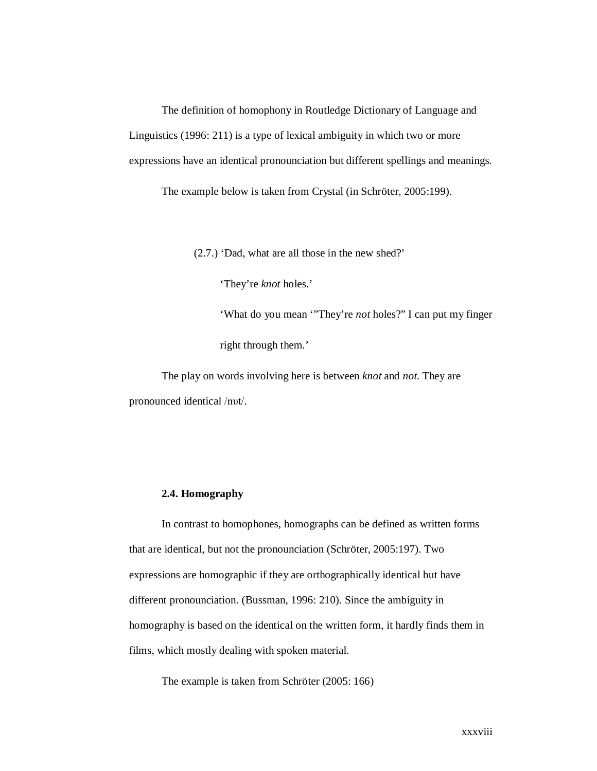The definition of homophony in Routledge Dictionary of Language and Linguistics (1996: 211) is a type of lexical ambiguity in which two or more expressions have an identical pronounciation but different spellings and meanings.

The example below is taken from Crystal (in Schröter, 2005:199).

(2.7.) 'Dad, what are all those in the new shed?'

'They're *knot* holes.'

'What do you mean '"They're *not* holes?" I can put my finger right through them.'

The play on words involving here is between *knot* and *not*. They are pronounced identical /nυt/.

#### **2.4. Homography**

In contrast to homophones, homographs can be defined as written forms that are identical, but not the pronounciation (Schröter, 2005:197). Two expressions are homographic if they are orthographically identical but have different pronounciation. (Bussman, 1996: 210). Since the ambiguity in homography is based on the identical on the written form, it hardly finds them in films, which mostly dealing with spoken material.

The example is taken from Schröter (2005: 166)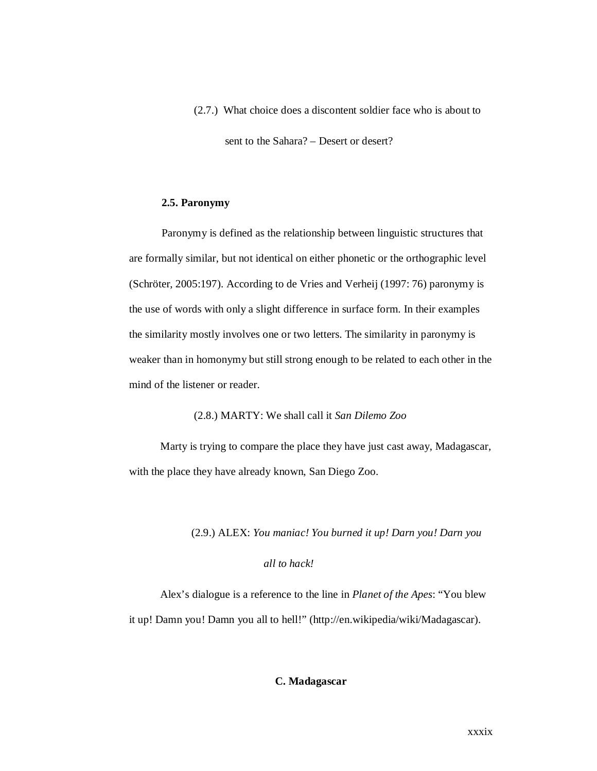(2.7.) What choice does a discontent soldier face who is about to

sent to the Sahara? – Desert or desert?

#### **2.5. Paronymy**

Paronymy is defined as the relationship between linguistic structures that are formally similar, but not identical on either phonetic or the orthographic level (Schröter, 2005:197). According to de Vries and Verheij (1997: 76) paronymy is the use of words with only a slight difference in surface form. In their examples the similarity mostly involves one or two letters. The similarity in paronymy is weaker than in homonymy but still strong enough to be related to each other in the mind of the listener or reader.

(2.8.) MARTY: We shall call it *San Dilemo Zoo*

Marty is trying to compare the place they have just cast away, Madagascar, with the place they have already known, San Diego Zoo.

(2.9.) ALEX: *You maniac! You burned it up! Darn you! Darn you* 

# *all to hack!*

Alex's dialogue is a reference to the line in *Planet of the Apes*: "You blew it up! Damn you! Damn you all to hell!" (http://en.wikipedia/wiki/Madagascar).

# **C. Madagascar**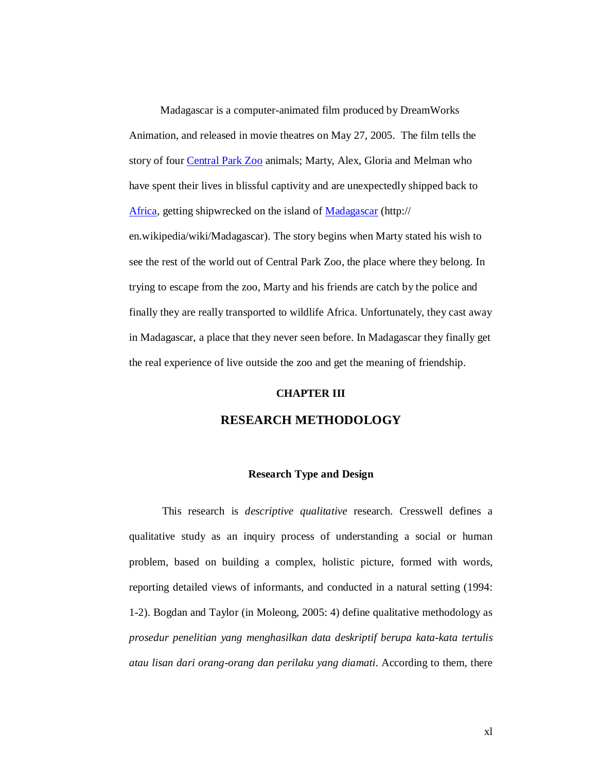Madagascar is a computer-animated film produced by DreamWorks Animation, and released in movie theatres on May 27, 2005. The film tells the story of four Central Park Zoo animals; Marty, Alex, Gloria and Melman who have spent their lives in blissful captivity and are unexpectedly shipped back to Africa, getting shipwrecked on the island of Madagascar (http://

en.wikipedia/wiki/Madagascar). The story begins when Marty stated his wish to see the rest of the world out of Central Park Zoo, the place where they belong. In trying to escape from the zoo, Marty and his friends are catch by the police and finally they are really transported to wildlife Africa. Unfortunately, they cast away in Madagascar, a place that they never seen before. In Madagascar they finally get the real experience of live outside the zoo and get the meaning of friendship.

#### **CHAPTER III**

# **RESEARCH METHODOLOGY**

#### **Research Type and Design**

This research is *descriptive qualitative* research. Cresswell defines a qualitative study as an inquiry process of understanding a social or human problem, based on building a complex, holistic picture, formed with words, reporting detailed views of informants, and conducted in a natural setting (1994: 1-2). Bogdan and Taylor (in Moleong, 2005: 4) define qualitative methodology as *prosedur penelitian yang menghasilkan data deskriptif berupa kata-kata tertulis atau lisan dari orang-orang dan perilaku yang diamati*. According to them, there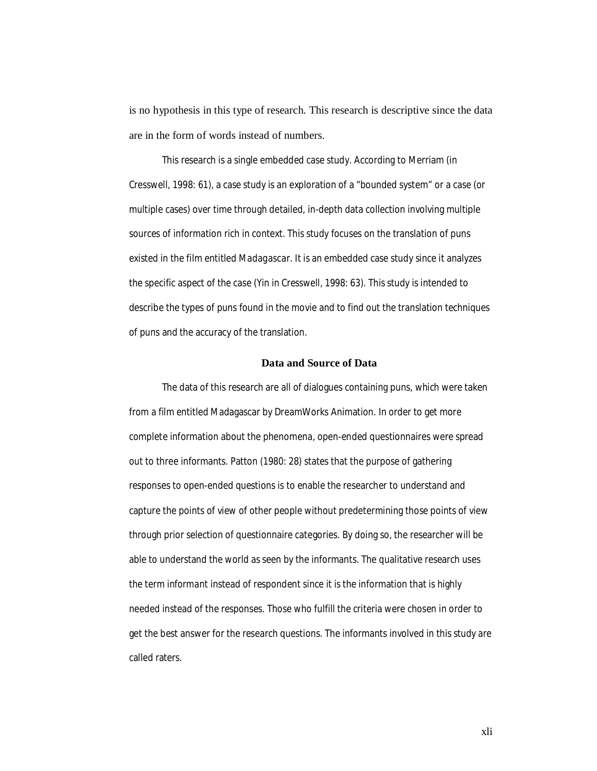is no hypothesis in this type of research. This research is descriptive since the data are in the form of words instead of numbers.

This research is a single embedded case study. According to Merriam (in Cresswell, 1998: 61), a case study is an exploration of a "bounded system" or a case (or multiple cases) over time through detailed, in-depth data collection involving multiple sources of information rich in context. This study focuses on the translation of puns existed in the film entitled *Madagascar.* It is an embedded case study since it analyzes the specific aspect of the case (Yin in Cresswell, 1998: 63). This study is intended to describe the types of puns found in the movie and to find out the translation techniques of puns and the accuracy of the translation.

#### **Data and Source of Data**

The data of this research are all of dialogues containing puns, which were taken from a film entitled Madagascar by DreamWorks Animation. In order to get more complete information about the phenomena, open-ended questionnaires were spread out to three informants. Patton (1980: 28) states that the purpose of gathering responses to open-ended questions is to enable the researcher to understand and capture the points of view of other people without predetermining those points of view through prior selection of questionnaire categories. By doing so, the researcher will be able to understand the world as seen by the informants. The qualitative research uses the term *informant* instead of respondent since it is the information that is highly needed instead of the responses. Those who fulfill the criteria were chosen in order to get the best answer for the research questions. The informants involved in this study are called raters.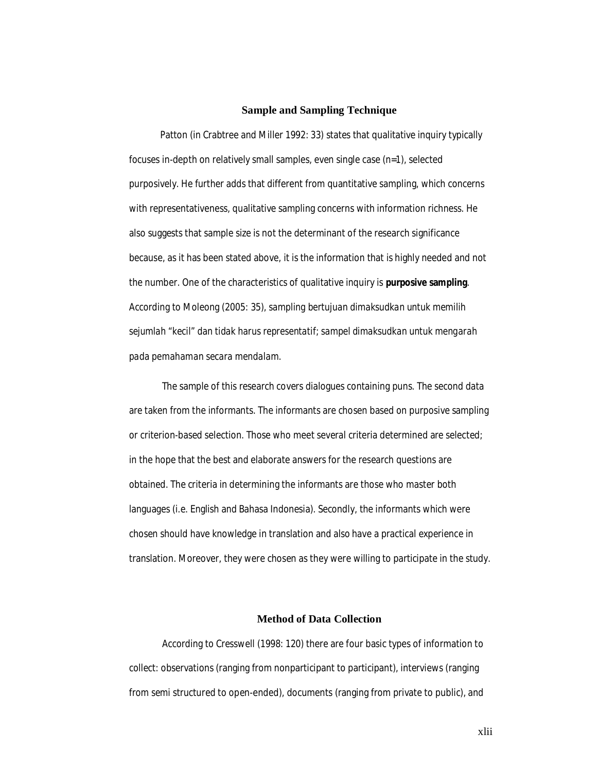#### **Sample and Sampling Technique**

Patton (in Crabtree and Miller 1992: 33) states that qualitative inquiry typically focuses in-depth on relatively small samples, even single case (n=1), selected purposively. He further adds that different from quantitative sampling, which concerns with representativeness, qualitative sampling concerns with information richness. He also suggests that sample size is not the determinant of the research significance because, as it has been stated above, it is the information that is highly needed and not the number. One of the characteristics of qualitative inquiry is **purposive sampling**. According to Moleong (2005: 35), *sampling bertujuan dimaksudkan untuk memilih sejumlah "kecil" dan tidak harus representatif; sampel dimaksudkan untuk mengarah pada pemahaman secara mendalam.* 

The sample of this research covers dialogues containing puns. The second data are taken from the informants. The informants are chosen based on purposive sampling or criterion-based selection. Those who meet several criteria determined are selected; in the hope that the best and elaborate answers for the research questions are obtained. The criteria in determining the informants are those who master both languages (i.e. English and Bahasa Indonesia). Secondly, the informants which were chosen should have knowledge in translation and also have a practical experience in translation. Moreover, they were chosen as they were willing to participate in the study.

#### **Method of Data Collection**

According to Cresswell (1998: 120) there are four basic types of information to collect: observations (ranging from nonparticipant to participant), interviews (ranging from semi structured to open-ended), documents (ranging from private to public), and

xlii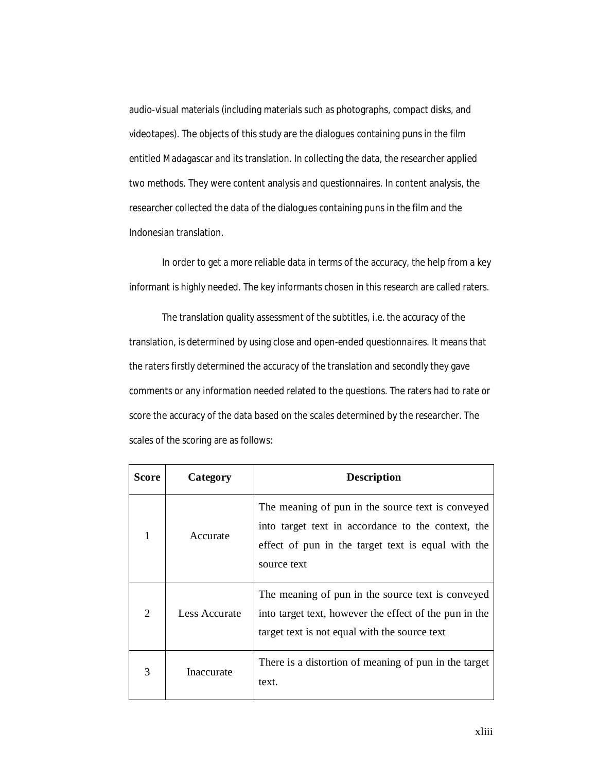audio-visual materials (including materials such as photographs, compact disks, and videotapes). The objects of this study are the dialogues containing puns in the film entitled Madagascar and its translation. In collecting the data, the researcher applied two methods. They were content analysis and questionnaires. In content analysis, the researcher collected the data of the dialogues containing puns in the film and the Indonesian translation.

In order to get a more reliable data in terms of the accuracy, the help from a key informant is highly needed. The key informants chosen in this research are called raters.

The translation quality assessment of the subtitles, i.e. the accuracy of the translation, is determined by using close and open-ended questionnaires. It means that the raters firstly determined the accuracy of the translation and secondly they gave comments or any information needed related to the questions. The raters had to rate or score the accuracy of the data based on the scales determined by the researcher. The scales of the scoring are as follows:

| Score          | Category      | <b>Description</b>                                                                                                                                                           |
|----------------|---------------|------------------------------------------------------------------------------------------------------------------------------------------------------------------------------|
| 1              | Accurate      | The meaning of pun in the source text is conveyed<br>into target text in accordance to the context, the<br>effect of pun in the target text is equal with the<br>source text |
| $\overline{2}$ | Less Accurate | The meaning of pun in the source text is conveyed<br>into target text, however the effect of the pun in the<br>target text is not equal with the source text                 |
| 3              | Inaccurate    | There is a distortion of meaning of pun in the target<br>text.                                                                                                               |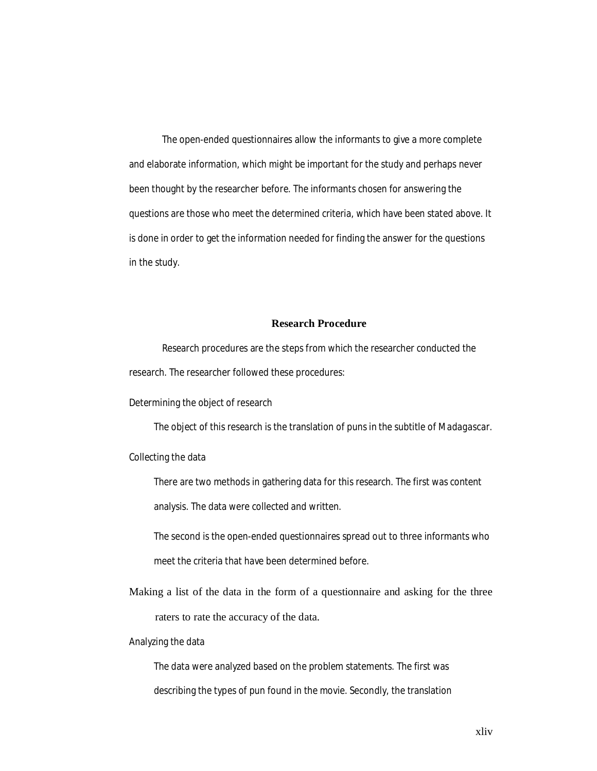The open-ended questionnaires allow the informants to give a more complete and elaborate information, which might be important for the study and perhaps never been thought by the researcher before. The informants chosen for answering the questions are those who meet the determined criteria, which have been stated above. It is done in order to get the information needed for finding the answer for the questions in the study.

# **Research Procedure**

Research procedures are the steps from which the researcher conducted the research. The researcher followed these procedures:

Determining the object of research

The object of this research is the translation of puns in the subtitle of *Madagascar*.

Collecting the data

There are two methods in gathering data for this research. The first was content analysis. The data were collected and written.

The second is the open-ended questionnaires spread out to three informants who meet the criteria that have been determined before.

Making a list of the data in the form of a questionnaire and asking for the three raters to rate the accuracy of the data.

Analyzing the data

The data were analyzed based on the problem statements. The first was describing the types of pun found in the movie. Secondly, the translation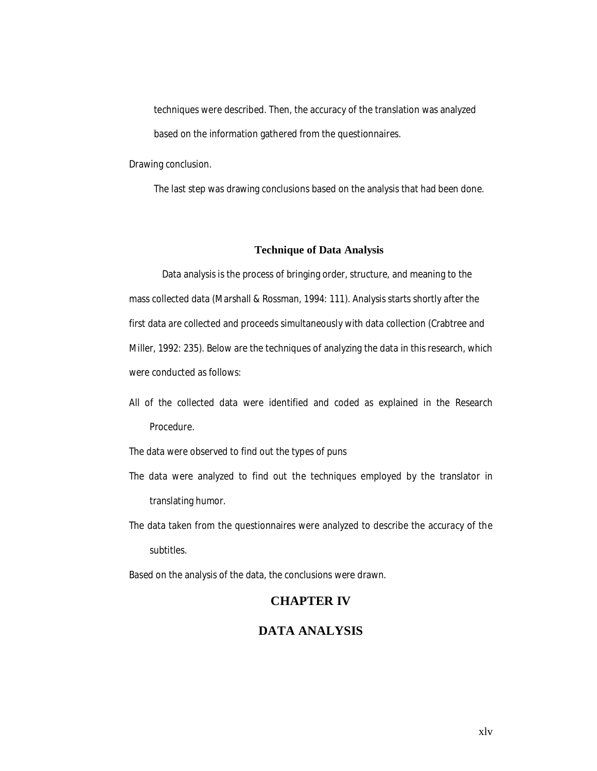techniques were described. Then, the accuracy of the translation was analyzed based on the information gathered from the questionnaires.

Drawing conclusion.

The last step was drawing conclusions based on the analysis that had been done.

#### **Technique of Data Analysis**

Data analysis is the process of bringing order, structure, and meaning to the mass collected data (Marshall & Rossman, 1994: 111). Analysis starts shortly after the first data are collected and proceeds simultaneously with data collection (Crabtree and Miller, 1992: 235). Below are the techniques of analyzing the data in this research, which were conducted as follows:

All of the collected data were identified and coded as explained in the Research Procedure.

The data were observed to find out the types of puns

- The data were analyzed to find out the techniques employed by the translator in translating humor.
- The data taken from the questionnaires were analyzed to describe the accuracy of the subtitles.

Based on the analysis of the data, the conclusions were drawn.

# **CHAPTER IV**

# **DATA ANALYSIS**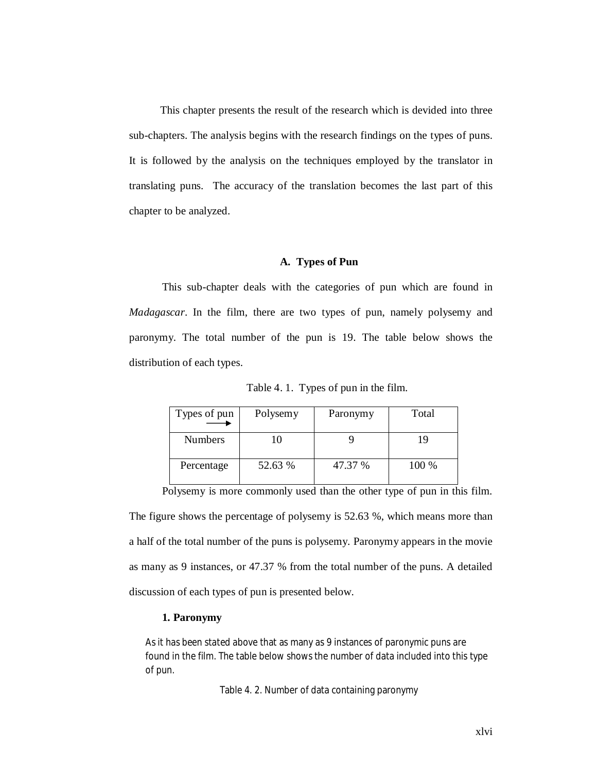This chapter presents the result of the research which is devided into three sub-chapters. The analysis begins with the research findings on the types of puns. It is followed by the analysis on the techniques employed by the translator in translating puns. The accuracy of the translation becomes the last part of this chapter to be analyzed.

#### **A. Types of Pun**

This sub-chapter deals with the categories of pun which are found in *Madagascar*. In the film, there are two types of pun, namely polysemy and paronymy. The total number of the pun is 19. The table below shows the distribution of each types.

Table 4. 1. Types of pun in the film.

| Types of pun   | Polysemy | Paronymy | Total |
|----------------|----------|----------|-------|
| <b>Numbers</b> | 10       |          | 19    |
| Percentage     | 52.63 %  | 47.37 %  | 100 % |

Polysemy is more commonly used than the other type of pun in this film. The figure shows the percentage of polysemy is 52.63 %, which means more than a half of the total number of the puns is polysemy. Paronymy appears in the movie as many as 9 instances, or 47.37 % from the total number of the puns. A detailed discussion of each types of pun is presented below.

#### **1. Paronymy**

As it has been stated above that as many as 9 instances of paronymic puns are found in the film. The table below shows the number of data included into this type of pun.

Table 4. 2. Number of data containing paronymy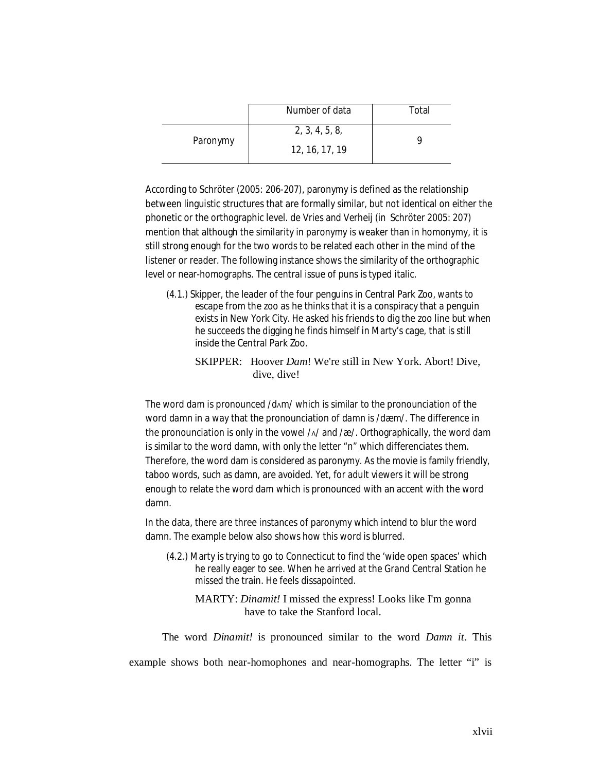|          | Number of data                   | Total |
|----------|----------------------------------|-------|
| Paronymy | 2, 3, 4, 5, 8,<br>12, 16, 17, 19 |       |

According to Schröter (2005: 206-207), paronymy is defined as the relationship between linguistic structures that are formally similar, but not identical on either the phonetic or the orthographic level. de Vries and Verheij (in Schröter 2005: 207) mention that although the similarity in paronymy is weaker than in homonymy, it is still strong enough for the two words to be related each other in the mind of the listener or reader. The following instance shows the similarity of the orthographic level or near-homographs. The central issue of puns is typed italic.

- (4.1.) Skipper, the leader of the four penguins in Central Park Zoo, wants to escape from the zoo as he thinks that it is a conspiracy that a penguin exists in New York City. He asked his friends to dig the zoo line but when he succeeds the digging he finds himself in Marty's cage, that is still inside the Central Park Zoo.
	- SKIPPER: Hoover *Dam*! We're still in New York. Abort! Dive, dive, dive!

The word *dam* is pronounced /dΛm/ which is similar to the pronounciation of the word *damn* in a way that the pronounciation of *damn* is /dæm/. The difference in the pronounciation is only in the vowel /Λ/ and /æ/. Orthographically, the word *dam* is similar to the word *damn*, with only the letter "n" which differenciates them. Therefore, the word *dam* is considered as paronymy. As the movie is family friendly, taboo words, such as *damn,* are avoided. Yet, for adult viewers it will be strong enough to relate the word *dam* which is pronounced with an accent with the word *damn*.

In the data, there are three instances of paronymy which intend to blur the word *damn*. The example below also shows how this word is blurred.

- (4.2.) Marty is trying to go to Connecticut to find the 'wide open spaces' which he really eager to see. When he arrived at the Grand Central Station he missed the train. He feels dissapointed.
	- MARTY: *Dinamit!* I missed the express! Looks like I'm gonna have to take the Stanford local.

The word *Dinamit!* is pronounced similar to the word *Damn it*. This

example shows both near-homophones and near-homographs. The letter "i" is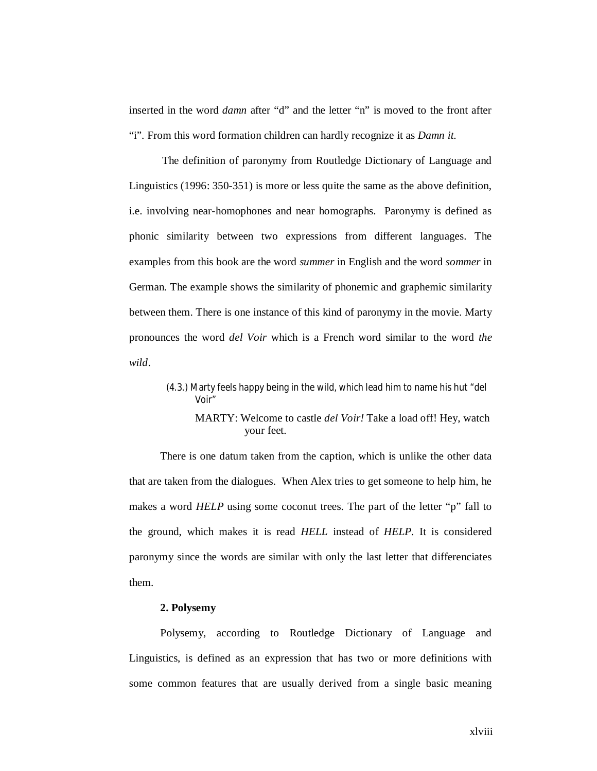inserted in the word *damn* after "d" and the letter "n" is moved to the front after "i". From this word formation children can hardly recognize it as *Damn it*.

The definition of paronymy from Routledge Dictionary of Language and Linguistics (1996: 350-351) is more or less quite the same as the above definition, i.e. involving near-homophones and near homographs. Paronymy is defined as phonic similarity between two expressions from different languages. The examples from this book are the word *summer* in English and the word *sommer* in German. The example shows the similarity of phonemic and graphemic similarity between them. There is one instance of this kind of paronymy in the movie. Marty pronounces the word *del Voir* which is a French word similar to the word *the wild*.

> (4.3.) Marty feels happy being in the wild, which lead him to name his hut "del Voir"

MARTY: Welcome to castle *del Voir!* Take a load off! Hey, watch your feet.

There is one datum taken from the caption, which is unlike the other data that are taken from the dialogues. When Alex tries to get someone to help him, he makes a word *HELP* using some coconut trees. The part of the letter "p" fall to the ground, which makes it is read *HELL* instead of *HELP.* It is considered paronymy since the words are similar with only the last letter that differenciates them.

## **2. Polysemy**

Polysemy, according to Routledge Dictionary of Language and Linguistics, is defined as an expression that has two or more definitions with some common features that are usually derived from a single basic meaning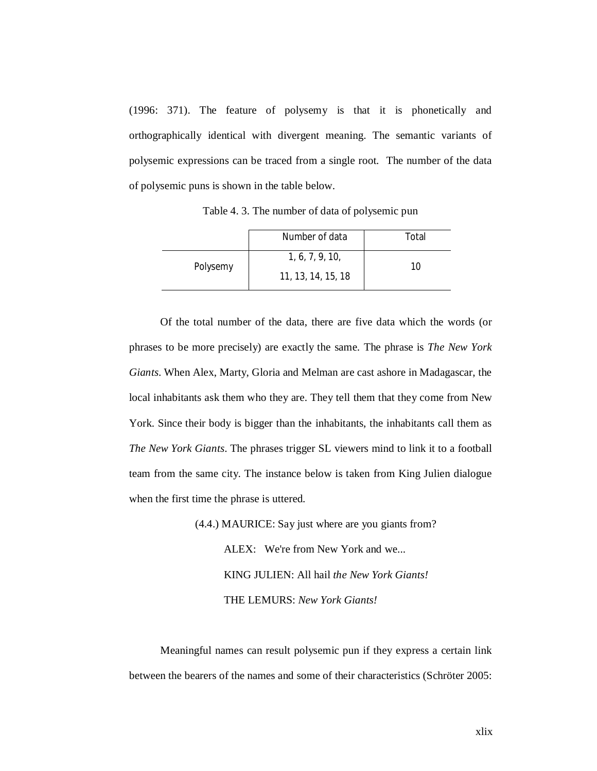(1996: 371). The feature of polysemy is that it is phonetically and orthographically identical with divergent meaning. The semantic variants of polysemic expressions can be traced from a single root. The number of the data of polysemic puns is shown in the table below.

Table 4. 3. The number of data of polysemic pun

|          | Number of data                        | Total |
|----------|---------------------------------------|-------|
| Polysemy | 1, 6, 7, 9, 10,<br>11, 13, 14, 15, 18 | 10    |

Of the total number of the data, there are five data which the words (or phrases to be more precisely) are exactly the same. The phrase is *The New York Giants*. When Alex, Marty, Gloria and Melman are cast ashore in Madagascar, the local inhabitants ask them who they are. They tell them that they come from New York. Since their body is bigger than the inhabitants, the inhabitants call them as *The New York Giants*. The phrases trigger SL viewers mind to link it to a football team from the same city. The instance below is taken from King Julien dialogue when the first time the phrase is uttered.

> (4.4.) MAURICE: Say just where are you giants from? ALEX: We're from New York and we... KING JULIEN: All hail *the New York Giants!* THE LEMURS: *New York Giants!*

Meaningful names can result polysemic pun if they express a certain link between the bearers of the names and some of their characteristics (Schröter 2005: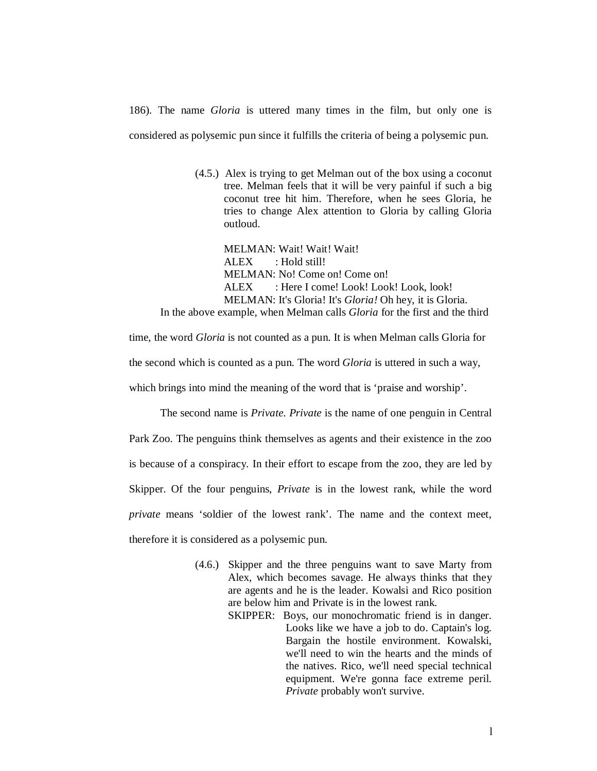186). The name *Gloria* is uttered many times in the film, but only one is considered as polysemic pun since it fulfills the criteria of being a polysemic pun.

> (4.5.) Alex is trying to get Melman out of the box using a coconut tree. Melman feels that it will be very painful if such a big coconut tree hit him. Therefore, when he sees Gloria, he tries to change Alex attention to Gloria by calling Gloria outloud.

MELMAN: Wait! Wait! Wait! ALEX : Hold still! MELMAN: No! Come on! Come on! ALEX : Here I come! Look! Look! Look, look! MELMAN: It's Gloria! It's *Gloria!* Oh hey, it is Gloria.

In the above example, when Melman calls *Gloria* for the first and the third

time, the word *Gloria* is not counted as a pun. It is when Melman calls Gloria for

the second which is counted as a pun. The word *Gloria* is uttered in such a way,

which brings into mind the meaning of the word that is 'praise and worship'.

The second name is *Private. Private* is the name of one penguin in Central Park Zoo. The penguins think themselves as agents and their existence in the zoo is because of a conspiracy. In their effort to escape from the zoo, they are led by Skipper. Of the four penguins, *Private* is in the lowest rank, while the word *private* means 'soldier of the lowest rank'. The name and the context meet. therefore it is considered as a polysemic pun.

- (4.6.) Skipper and the three penguins want to save Marty from Alex, which becomes savage. He always thinks that they are agents and he is the leader. Kowalsi and Rico position are below him and Private is in the lowest rank.
	- SKIPPER: Boys, our monochromatic friend is in danger. Looks like we have a job to do. Captain's log. Bargain the hostile environment. Kowalski, we'll need to win the hearts and the minds of the natives. Rico, we'll need special technical equipment. We're gonna face extreme peril. *Private* probably won't survive.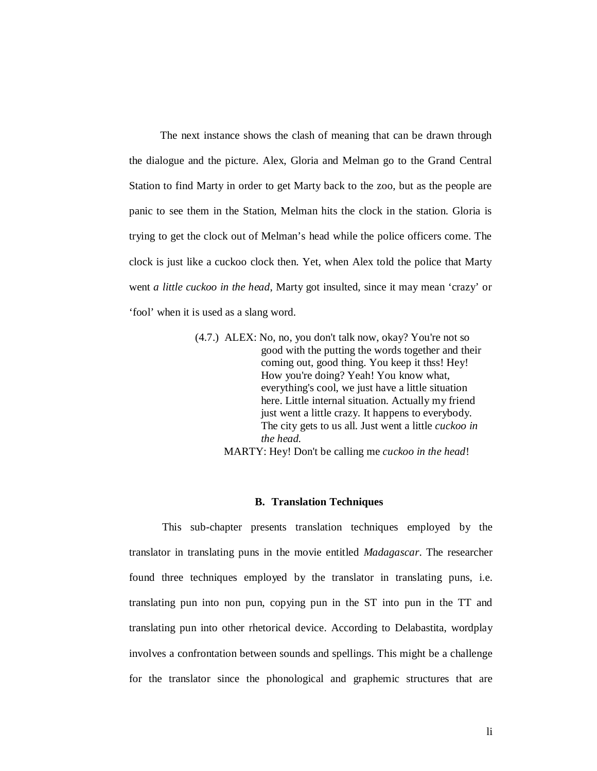The next instance shows the clash of meaning that can be drawn through the dialogue and the picture. Alex, Gloria and Melman go to the Grand Central Station to find Marty in order to get Marty back to the zoo, but as the people are panic to see them in the Station, Melman hits the clock in the station. Gloria is trying to get the clock out of Melman's head while the police officers come. The clock is just like a cuckoo clock then. Yet, when Alex told the police that Marty went *a little cuckoo in the head*, Marty got insulted, since it may mean 'crazy' or 'fool' when it is used as a slang word.

> (4.7.) ALEX: No, no, you don't talk now, okay? You're not so good with the putting the words together and their coming out, good thing. You keep it thss! Hey! How you're doing? Yeah! You know what, everything's cool, we just have a little situation here. Little internal situation. Actually my friend just went a little crazy. It happens to everybody. The city gets to us all. Just went a little *cuckoo in the head.* MARTY: Hey! Don't be calling me *cuckoo in the head*!

#### **B. Translation Techniques**

This sub-chapter presents translation techniques employed by the translator in translating puns in the movie entitled *Madagascar*. The researcher found three techniques employed by the translator in translating puns, i.e. translating pun into non pun, copying pun in the ST into pun in the TT and translating pun into other rhetorical device. According to Delabastita, wordplay involves a confrontation between sounds and spellings. This might be a challenge for the translator since the phonological and graphemic structures that are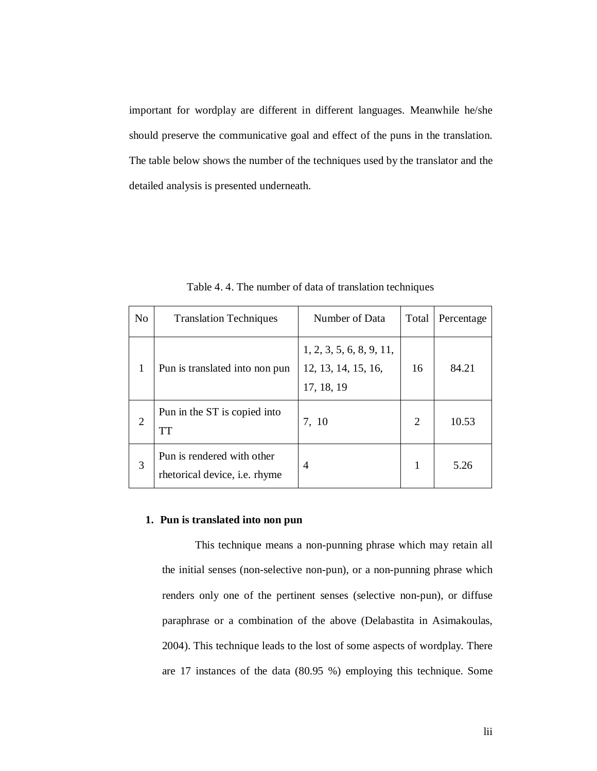important for wordplay are different in different languages. Meanwhile he/she should preserve the communicative goal and effect of the puns in the translation. The table below shows the number of the techniques used by the translator and the detailed analysis is presented underneath.

| N <sub>o</sub>              | <b>Translation Techniques</b>                               | Number of Data                                                | Total | Percentage |
|-----------------------------|-------------------------------------------------------------|---------------------------------------------------------------|-------|------------|
| 1                           | Pun is translated into non pun                              | 1, 2, 3, 5, 6, 8, 9, 11,<br>12, 13, 14, 15, 16,<br>17, 18, 19 | 16    | 84.21      |
| $\mathcal{D}_{\mathcal{L}}$ | Pun in the ST is copied into<br><b>TT</b>                   | 7, 10                                                         | 2     | 10.53      |
| 3                           | Pun is rendered with other<br>rhetorical device, i.e. rhyme | 4                                                             | 1     | 5.26       |

Table 4. 4. The number of data of translation techniques

#### **1. Pun is translated into non pun**

This technique means a non-punning phrase which may retain all the initial senses (non-selective non-pun), or a non-punning phrase which renders only one of the pertinent senses (selective non-pun), or diffuse paraphrase or a combination of the above (Delabastita in Asimakoulas, 2004). This technique leads to the lost of some aspects of wordplay. There are 17 instances of the data (80.95 %) employing this technique. Some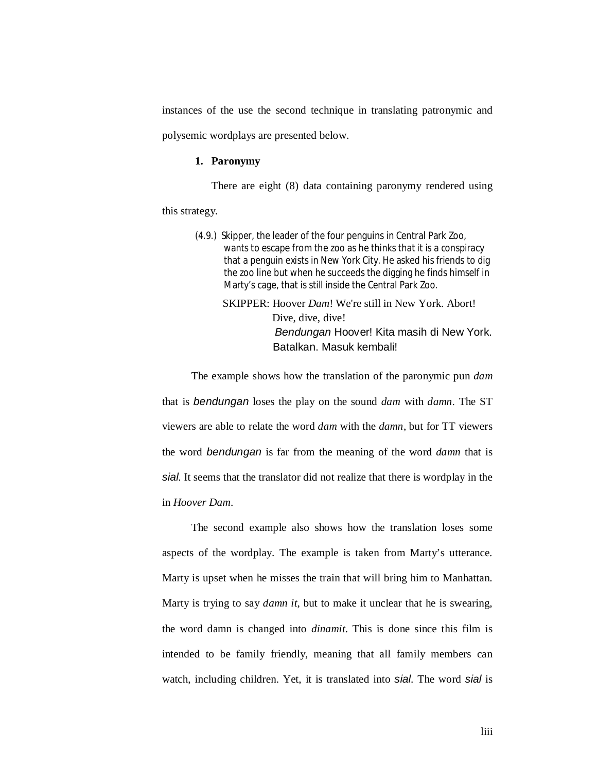instances of the use the second technique in translating patronymic and polysemic wordplays are presented below.

# **1. Paronymy**

There are eight (8) data containing paronymy rendered using

this strategy.

- (4.9.) Skipper, the leader of the four penguins in Central Park Zoo, wants to escape from the zoo as he thinks that it is a conspiracy that a penguin exists in New York City. He asked his friends to dig the zoo line but when he succeeds the digging he finds himself in Marty's cage, that is still inside the Central Park Zoo.
	- SKIPPER: Hoover *Dam*! We're still in New York. Abort! Dive, dive, dive! *Bendungan* Hoover! Kita masih di New York. Batalkan. Masuk kembali!

The example shows how the translation of the paronymic pun *dam* that is *bendungan* loses the play on the sound *dam* with *damn*. The ST viewers are able to relate the word *dam* with the *damn*, but for TT viewers the word *bendungan* is far from the meaning of the word *damn* that is *sial*. It seems that the translator did not realize that there is wordplay in the in *Hoover Dam*.

The second example also shows how the translation loses some aspects of the wordplay. The example is taken from Marty's utterance. Marty is upset when he misses the train that will bring him to Manhattan. Marty is trying to say *damn it*, but to make it unclear that he is swearing, the word damn is changed into *dinamit*. This is done since this film is intended to be family friendly, meaning that all family members can watch, including children. Yet, it is translated into *sial*. The word *sial* is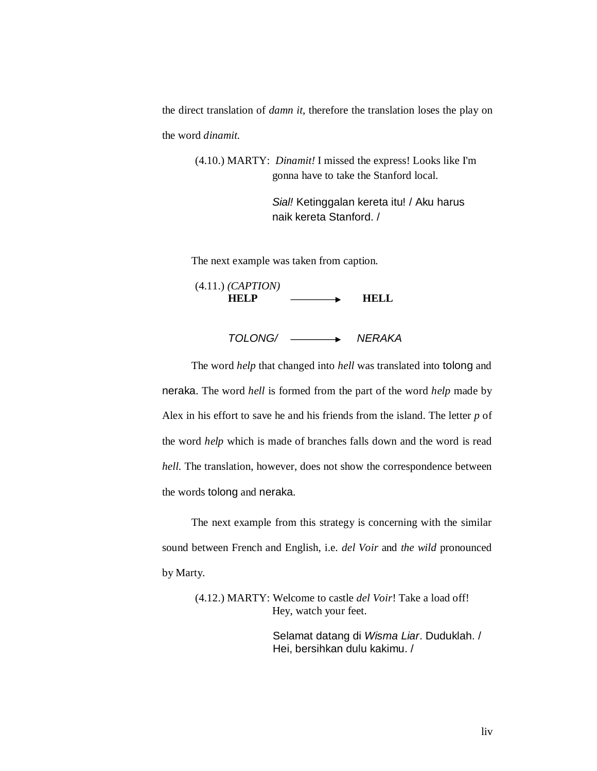the direct translation of *damn it*, therefore the translation loses the play on the word *dinamit*.

(4.10.) MARTY: *Dinamit!* I missed the express! Looks like I'm gonna have to take the Stanford local.

> *Sial!* Ketinggalan kereta itu! / Aku harus naik kereta Stanford. /

The next example was taken from caption.

(4.11.) *(CAPTION)*  HELP —**—** HELL

*TOLONG/ NERAKA*

The word *help* that changed into *hell* was translated into tolong and neraka. The word *hell* is formed from the part of the word *help* made by Alex in his effort to save he and his friends from the island. The letter *p* of the word *help* which is made of branches falls down and the word is read *hell*. The translation, however, does not show the correspondence between the words tolong and neraka.

The next example from this strategy is concerning with the similar sound between French and English, i.e. *del Voir* and *the wild* pronounced by Marty.

> (4.12.) MARTY: Welcome to castle *del Voir*! Take a load off! Hey, watch your feet.

> > Selamat datang di *Wisma Liar*. Duduklah. / Hei, bersihkan dulu kakimu. /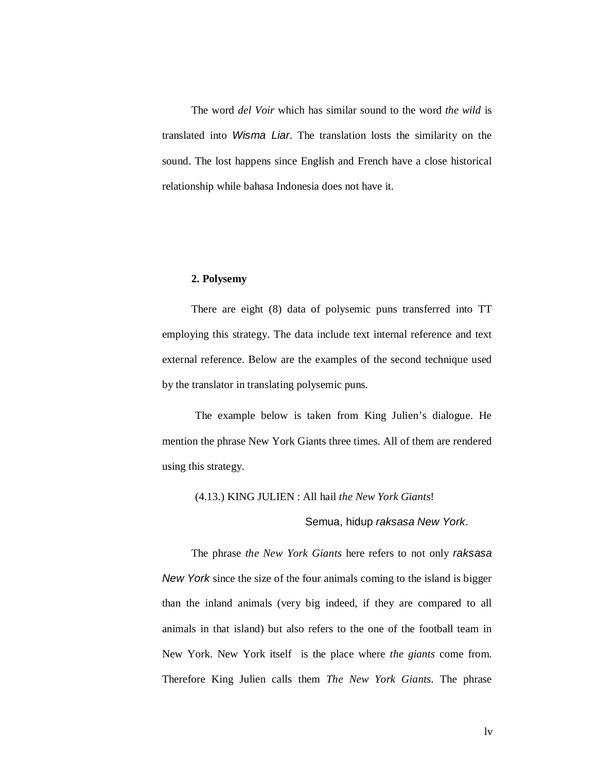The word *del Voir* which has similar sound to the word *the wild* is translated into *Wisma Liar*. The translation losts the similarity on the sound. The lost happens since English and French have a close historical relationship while bahasa Indonesia does not have it.

#### **2. Polysemy**

There are eight (8) data of polysemic puns transferred into TT employing this strategy. The data include text internal reference and text external reference. Below are the examples of the second technique used by the translator in translating polysemic puns.

The example below is taken from King Julien's dialogue. He mention the phrase New York Giants three times. All of them are rendered using this strategy.

(4.13.) KING JULIEN : All hail *the New York Giants*!

Semua, hidup *raksasa New York*.

The phrase *the New York Giants* here refers to not only *raksasa New York* since the size of the four animals coming to the island is bigger than the inland animals (very big indeed, if they are compared to all animals in that island) but also refers to the one of the football team in New York. New York itself is the place where *the giants* come from. Therefore King Julien calls them *The New York Giants*. The phrase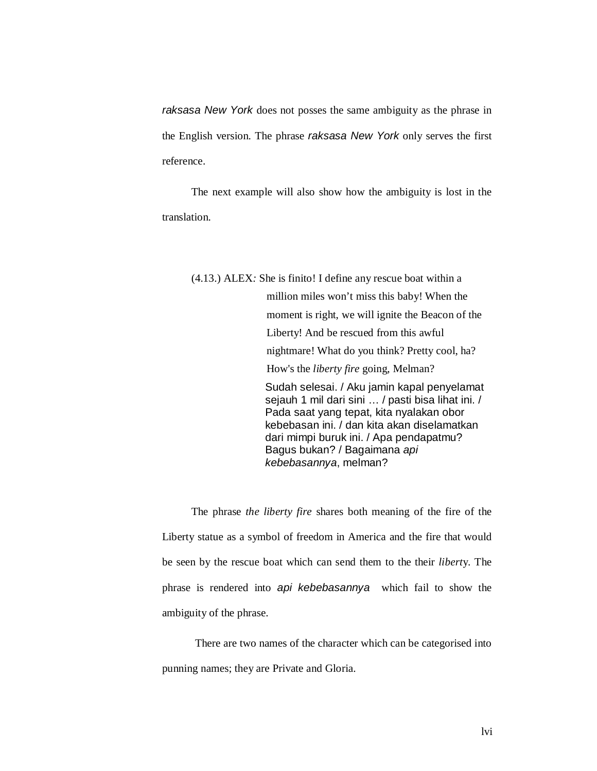*raksasa New York* does not posses the same ambiguity as the phrase in the English version. The phrase *raksasa New York* only serves the first reference.

The next example will also show how the ambiguity is lost in the translation.

(4.13.) ALEX*:* She is finito! I define any rescue boat within a million miles won't miss this baby! When the moment is right, we will ignite the Beacon of the Liberty! And be rescued from this awful nightmare! What do you think? Pretty cool, ha? How's the *liberty fire* going, Melman? Sudah selesai. / Aku jamin kapal penyelamat sejauh 1 mil dari sini … / pasti bisa lihat ini. / Pada saat yang tepat, kita nyalakan obor kebebasan ini. / dan kita akan diselamatkan dari mimpi buruk ini. / Apa pendapatmu? Bagus bukan? / Bagaimana *api kebebasannya*, melman?

The phrase *the liberty fire* shares both meaning of the fire of the Liberty statue as a symbol of freedom in America and the fire that would be seen by the rescue boat which can send them to the their *libert*y. The phrase is rendered into *api kebebasannya* which fail to show the ambiguity of the phrase.

There are two names of the character which can be categorised into punning names; they are Private and Gloria.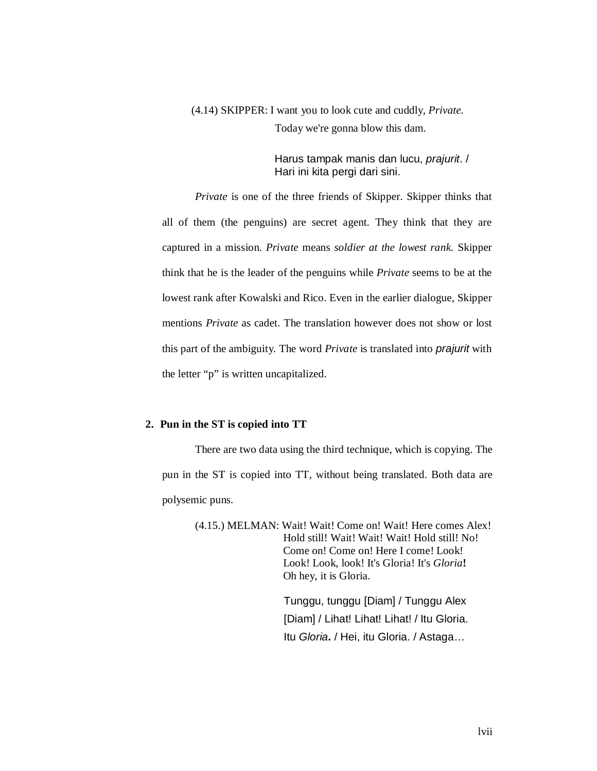(4.14) SKIPPER: I want you to look cute and cuddly, *Private.* Today we're gonna blow this dam.

> Harus tampak manis dan lucu, *prajurit*. / Hari ini kita pergi dari sini.

*Private* is one of the three friends of Skipper. Skipper thinks that all of them (the penguins) are secret agent. They think that they are captured in a mission. *Private* means *soldier at the lowest rank.* Skipper think that he is the leader of the penguins while *Private* seems to be at the lowest rank after Kowalski and Rico. Even in the earlier dialogue, Skipper mentions *Private* as cadet. The translation however does not show or lost this part of the ambiguity. The word *Private* is translated into *prajurit* with the letter "p" is written uncapitalized.

#### **2. Pun in the ST is copied into TT**

There are two data using the third technique, which is copying. The pun in the ST is copied into TT, without being translated. Both data are polysemic puns.

> (4.15.) MELMAN: Wait! Wait! Come on! Wait! Here comes Alex! Hold still! Wait! Wait! Wait! Hold still! No! Come on! Come on! Here I come! Look! Look! Look, look! It's Gloria! It's *Gloria***!** Oh hey, it is Gloria.

> > Tunggu, tunggu [Diam] / Tunggu Alex [Diam] / Lihat! Lihat! Lihat! / Itu Gloria. Itu *Gloria***.** / Hei, itu Gloria. / Astaga…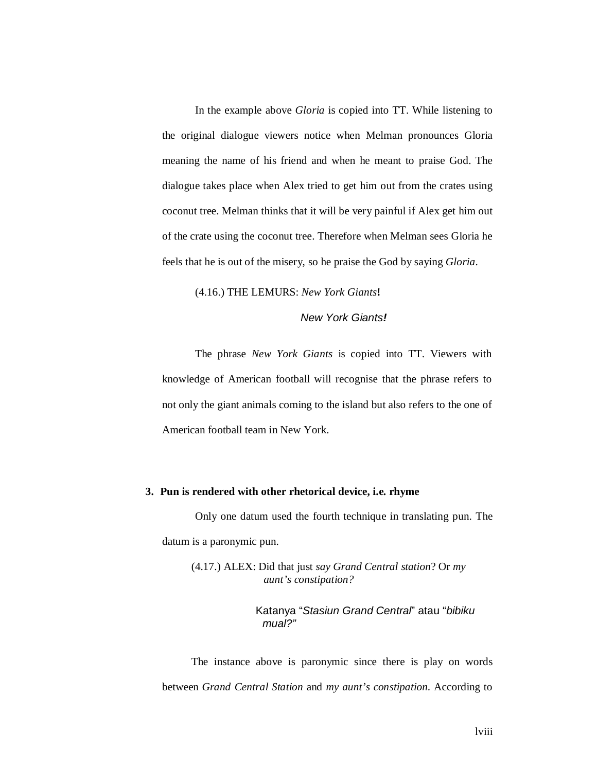In the example above *Gloria* is copied into TT. While listening to the original dialogue viewers notice when Melman pronounces Gloria meaning the name of his friend and when he meant to praise God. The dialogue takes place when Alex tried to get him out from the crates using coconut tree. Melman thinks that it will be very painful if Alex get him out of the crate using the coconut tree. Therefore when Melman sees Gloria he feels that he is out of the misery, so he praise the God by saying *Gloria*.

#### (4.16.) THE LEMURS: *New York Giants***!**

# *New York Giants!*

The phrase *New York Giants* is copied into TT. Viewers with knowledge of American football will recognise that the phrase refers to not only the giant animals coming to the island but also refers to the one of American football team in New York.

#### **3. Pun is rendered with other rhetorical device, i.e. rhyme**

Only one datum used the fourth technique in translating pun. The datum is a paronymic pun.

(4.17.) ALEX: Did that just *say Grand Central station*? Or *my aunt's constipation?*

> Katanya "*Stasiun Grand Central*" atau "*bibiku mual?"*

The instance above is paronymic since there is play on words between *Grand Central Station* and *my aunt's constipation*. According to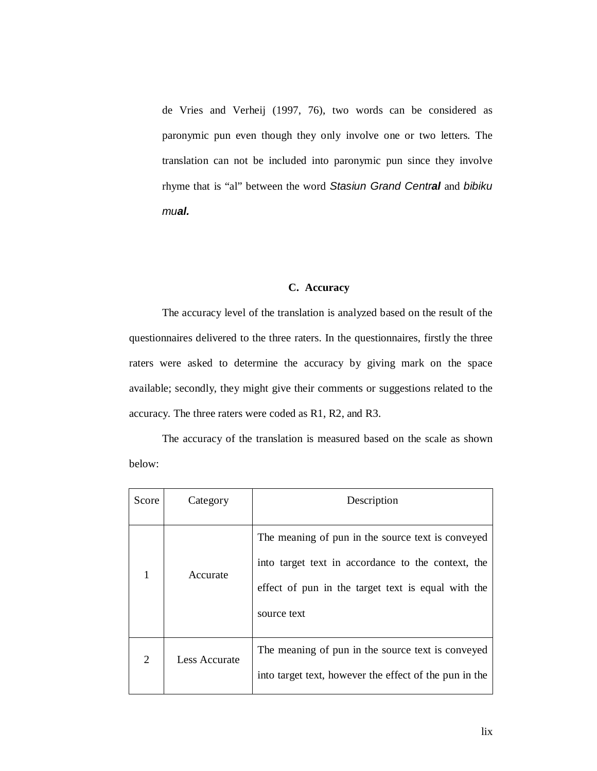de Vries and Verheij (1997, 76), two words can be considered as paronymic pun even though they only involve one or two letters. The translation can not be included into paronymic pun since they involve rhyme that is "al" between the word *Stasiun Grand Central* and *bibiku mual.*

# **C. Accuracy**

The accuracy level of the translation is analyzed based on the result of the questionnaires delivered to the three raters. In the questionnaires, firstly the three raters were asked to determine the accuracy by giving mark on the space available; secondly, they might give their comments or suggestions related to the accuracy. The three raters were coded as R1, R2, and R3.

The accuracy of the translation is measured based on the scale as shown below:

| Score          | Category      | Description                                                                                                                                                                  |
|----------------|---------------|------------------------------------------------------------------------------------------------------------------------------------------------------------------------------|
|                | Accurate      | The meaning of pun in the source text is conveyed<br>into target text in accordance to the context, the<br>effect of pun in the target text is equal with the<br>source text |
| $\overline{2}$ | Less Accurate | The meaning of pun in the source text is conveyed<br>into target text, however the effect of the pun in the                                                                  |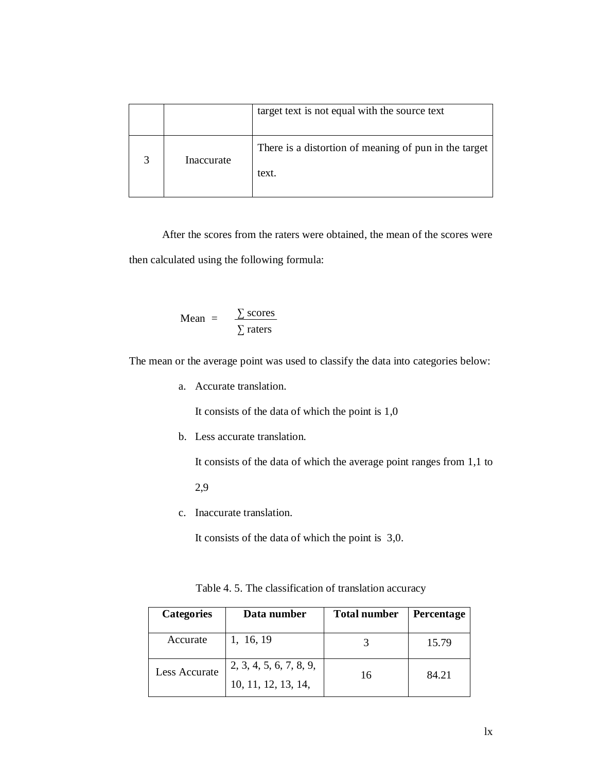|            | target text is not equal with the source text                  |
|------------|----------------------------------------------------------------|
| Inaccurate | There is a distortion of meaning of pun in the target<br>text. |

After the scores from the raters were obtained, the mean of the scores were then calculated using the following formula:

Mean = 
$$
\frac{\sum \text{ scores}}{\sum \text{ raters}}
$$

The mean or the average point was used to classify the data into categories below:

a. Accurate translation.

It consists of the data of which the point is 1,0

b. Less accurate translation.

It consists of the data of which the average point ranges from 1,1 to

2,9

c. Inaccurate translation.

It consists of the data of which the point is 3,0.

| <b>Categories</b> | Data number                                    | <b>Total number</b> | <b>Percentage</b> |
|-------------------|------------------------------------------------|---------------------|-------------------|
| Accurate          | 1, 16, 19                                      |                     | 15.79             |
| Less Accurate     | 2, 3, 4, 5, 6, 7, 8, 9,<br>10, 11, 12, 13, 14, | 16                  | 84.21             |

| Table 4.5. The classification of translation accuracy |  |
|-------------------------------------------------------|--|
|-------------------------------------------------------|--|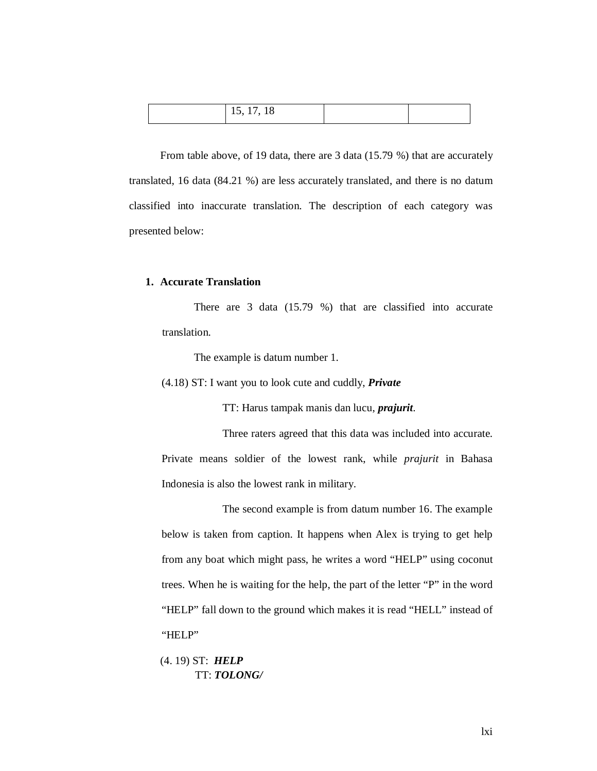| 15, 17, 18 |  |  |
|------------|--|--|
|------------|--|--|

From table above, of 19 data, there are 3 data (15.79 %) that are accurately translated, 16 data (84.21 %) are less accurately translated, and there is no datum classified into inaccurate translation. The description of each category was presented below:

#### **1. Accurate Translation**

There are 3 data (15.79 %) that are classified into accurate translation.

The example is datum number 1.

(4.18) ST: I want you to look cute and cuddly, *Private*

TT: Harus tampak manis dan lucu, *prajurit*.

Three raters agreed that this data was included into accurate. Private means soldier of the lowest rank, while *prajurit* in Bahasa Indonesia is also the lowest rank in military.

The second example is from datum number 16. The example below is taken from caption. It happens when Alex is trying to get help from any boat which might pass, he writes a word "HELP" using coconut trees. When he is waiting for the help, the part of the letter "P" in the word "HELP" fall down to the ground which makes it is read "HELL" instead of "HELP"

(4. 19) ST: *HELP* TT: *TOLONG/*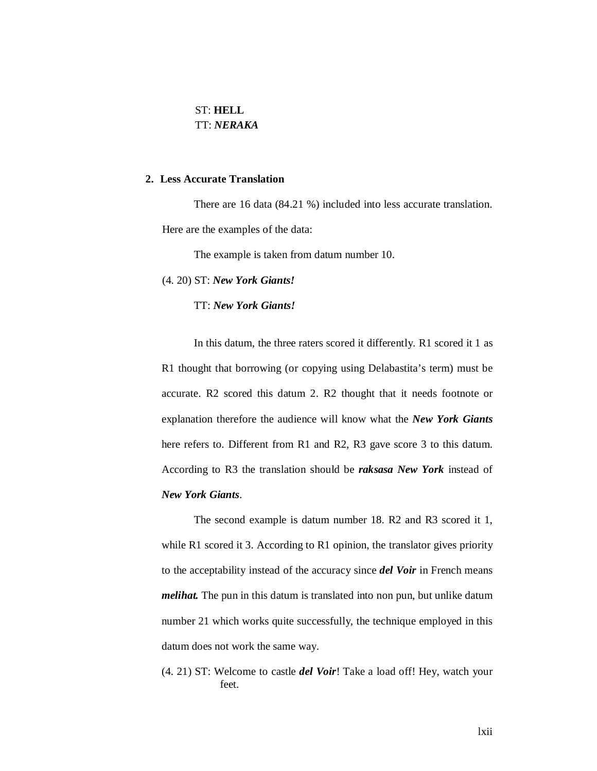# ST: **HELL** TT: *NERAKA*

# **2. Less Accurate Translation**

There are 16 data (84.21 %) included into less accurate translation. Here are the examples of the data:

The example is taken from datum number 10.

(4. 20) ST: *New York Giants!*

TT: *New York Giants!*

In this datum, the three raters scored it differently. R1 scored it 1 as R1 thought that borrowing (or copying using Delabastita's term) must be accurate. R2 scored this datum 2. R2 thought that it needs footnote or explanation therefore the audience will know what the *New York Giants* here refers to. Different from R1 and R2, R3 gave score 3 to this datum. According to R3 the translation should be *raksasa New York* instead of *New York Giants*.

The second example is datum number 18. R2 and R3 scored it 1, while R1 scored it 3. According to R1 opinion, the translator gives priority to the acceptability instead of the accuracy since *del Voir* in French means *melihat.* The pun in this datum is translated into non pun, but unlike datum number 21 which works quite successfully, the technique employed in this datum does not work the same way.

(4. 21) ST: Welcome to castle *del Voir*! Take a load off! Hey, watch your feet.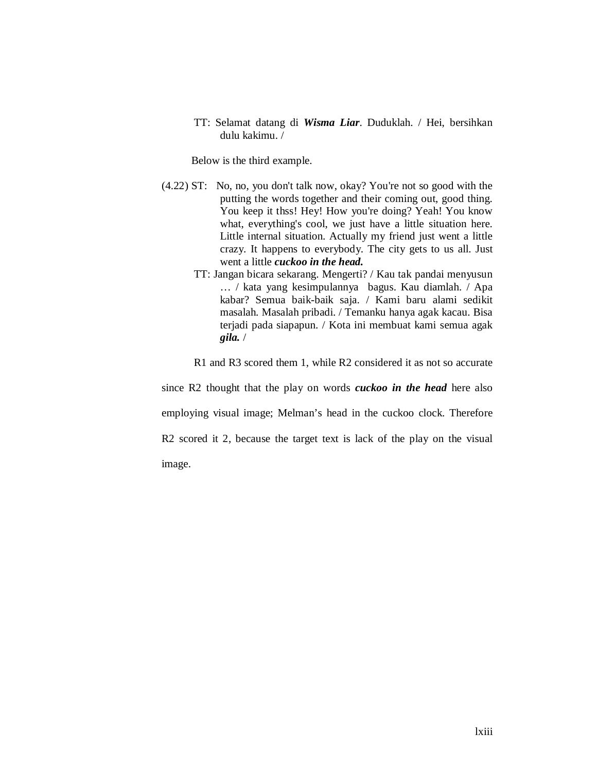TT: Selamat datang di *Wisma Liar*. Duduklah. / Hei, bersihkan dulu kakimu. /

Below is the third example.

- (4.22) ST: No, no, you don't talk now, okay? You're not so good with the putting the words together and their coming out, good thing. You keep it thss! Hey! How you're doing? Yeah! You know what, everything's cool, we just have a little situation here. Little internal situation. Actually my friend just went a little crazy. It happens to everybody. The city gets to us all. Just went a little *cuckoo in the head.*
	- TT: Jangan bicara sekarang. Mengerti? / Kau tak pandai menyusun … / kata yang kesimpulannya bagus. Kau diamlah. / Apa kabar? Semua baik-baik saja. / Kami baru alami sedikit masalah. Masalah pribadi. / Temanku hanya agak kacau. Bisa terjadi pada siapapun. / Kota ini membuat kami semua agak *gila.* /

R1 and R3 scored them 1, while R2 considered it as not so accurate

since R2 thought that the play on words *cuckoo in the head* here also employing visual image; Melman's head in the cuckoo clock. Therefore R2 scored it 2, because the target text is lack of the play on the visual image.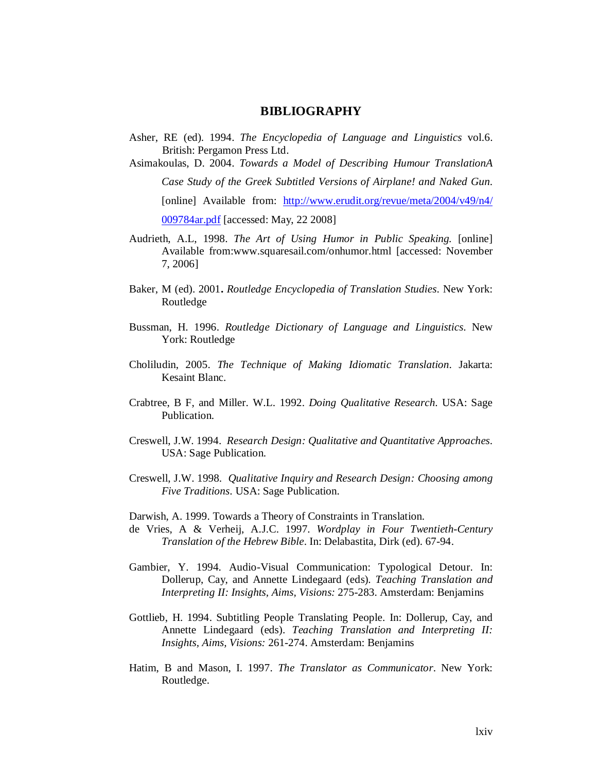## **BIBLIOGRAPHY**

Asher, RE (ed). 1994. *The Encyclopedia of Language and Linguistics* vol.6. British: Pergamon Press Ltd.

Asimakoulas, D. 2004. *Towards a Model of Describing Humour TranslationA Case Study of the Greek Subtitled Versions of Airplane! and Naked Gun.*  [online] Available from: http://www.erudit.org/revue/meta/2004/v49/n4/ 009784ar.pdf [accessed: May, 22 2008]

- Audrieth, A.L, 1998. *The Art of Using Humor in Public Speaking.* [online] Available from:www.squaresail.com/onhumor.html [accessed: November 7, 2006]
- Baker, M (ed). 2001**.** *Routledge Encyclopedia of Translation Studies*. New York: Routledge
- Bussman, H. 1996. *Routledge Dictionary of Language and Linguistics*. New York: Routledge
- Choliludin, 2005. *The Technique of Making Idiomatic Translation*. Jakarta: Kesaint Blanc.
- Crabtree, B F, and Miller. W.L. 1992. *Doing Qualitative Research*. USA: Sage Publication.
- Creswell, J.W. 1994. *Research Design: Qualitative and Quantitative Approaches*. USA: Sage Publication.
- Creswell, J.W. 1998. *Qualitative Inquiry and Research Design: Choosing among Five Traditions*. USA: Sage Publication.

Darwish, A. 1999. Towards a Theory of Constraints in Translation.

- de Vries, A & Verheij, A.J.C. 1997. *Wordplay in Four Twentieth-Century Translation of the Hebrew Bible*. In: Delabastita, Dirk (ed). 67-94.
- Gambier, Y. 1994. Audio-Visual Communication: Typological Detour. In: Dollerup, Cay, and Annette Lindegaard (eds). *Teaching Translation and Interpreting II: Insights, Aims, Visions:* 275-283. Amsterdam: Benjamins
- Gottlieb, H. 1994. Subtitling People Translating People. In: Dollerup, Cay, and Annette Lindegaard (eds). *Teaching Translation and Interpreting II: Insights, Aims, Visions:* 261-274. Amsterdam: Benjamins
- Hatim, B and Mason, I. 1997. *The Translator as Communicator*. New York: Routledge.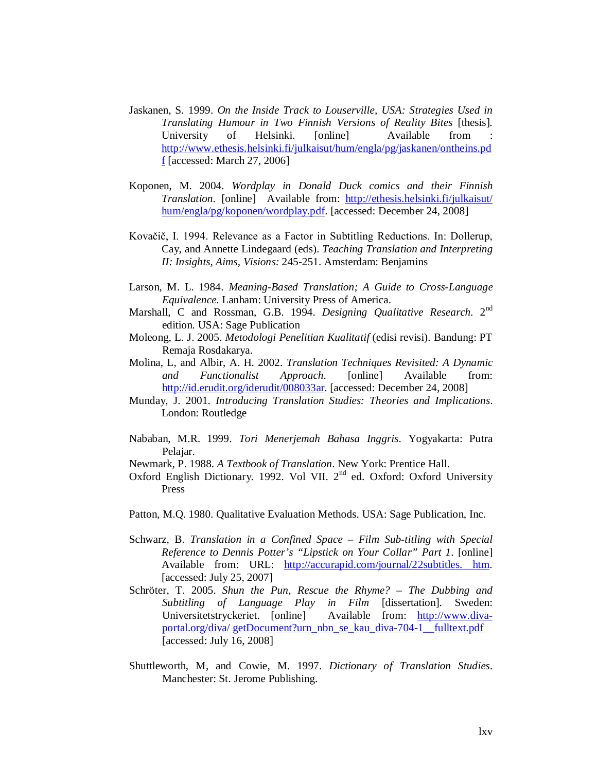- Jaskanen, S. 1999. *On the Inside Track to Louserville, USA: Strategies Used in Translating Humour in Two Finnish Versions of Reality Bites* [thesis]*.* University of Helsinki. [online] Available from http://www.ethesis.helsinki.fi/julkaisut/hum/engla/pg/jaskanen/ontheins.pd  $f$  [accessed: March 27, 2006]
- Koponen, M. 2004. *Wordplay in Donald Duck comics and their Finnish Translation.* [online] Available from: http://ethesis.helsinki.fi/julkaisut/ hum/engla/pg/koponen/wordplay.pdf. [accessed: December 24, 2008]
- Kovačič, I. 1994. Relevance as a Factor in Subtitling Reductions. In: Dollerup, Cay, and Annette Lindegaard (eds). *Teaching Translation and Interpreting II: Insights, Aims, Visions:* 245-251. Amsterdam: Benjamins
- Larson, M. L. 1984. *Meaning-Based Translation; A Guide to Cross-Language Equivalence.* Lanham: University Press of America.
- Marshall, C and Rossman, G.B. 1994. *Designing Qualitative Research*. 2<sup>nd</sup> edition. USA: Sage Publication
- Moleong, L. J. 2005. *Metodologi Penelitian Kualitatif* (edisi revisi). Bandung: PT Remaja Rosdakarya.
- Molina, L, and Albir, A. H. 2002. *Translation Techniques Revisited: A Dynamic and Functionalist Approach.* [online] Available from: http://id.erudit.org/iderudit/008033ar. [accessed: December 24, 2008]
- Munday, J. 2001. *Introducing Translation Studies: Theories and Implications*. London: Routledge
- Nababan, M.R. 1999. *Tori Menerjemah Bahasa Inggris*. Yogyakarta: Putra Pelajar.
- Newmark, P. 1988. *A Textbook of Translation*. New York: Prentice Hall.
- Oxford English Dictionary. 1992. Vol VII.  $2<sup>nd</sup>$  ed. Oxford: Oxford University Press
- Patton, M.Q. 1980. Qualitative Evaluation Methods. USA: Sage Publication, Inc.
- Schwarz, B. *Translation in a Confined Space – Film Sub-titling with Special Reference to Dennis Potter's "Lipstick on Your Collar" Part 1*. [online] Available from: URL: http://accurapid.com/journal/22subtitles. htm. [accessed: July 25, 2007]
- Schröter, T. 2005. *Shun the Pun, Rescue the Rhyme? – The Dubbing and Subtitling of Language Play in Film* [dissertation]. Sweden: Universitetstryckeriet. [online] Available from: http://www.divaportal.org/diva/ getDocument?urn\_nbn\_se\_kau\_diva-704-1\_\_fulltext.pdf [accessed: July 16, 2008]
- Shuttleworth, M, and Cowie, M. 1997. *Dictionary of Translation Studies*. Manchester: St. Jerome Publishing.